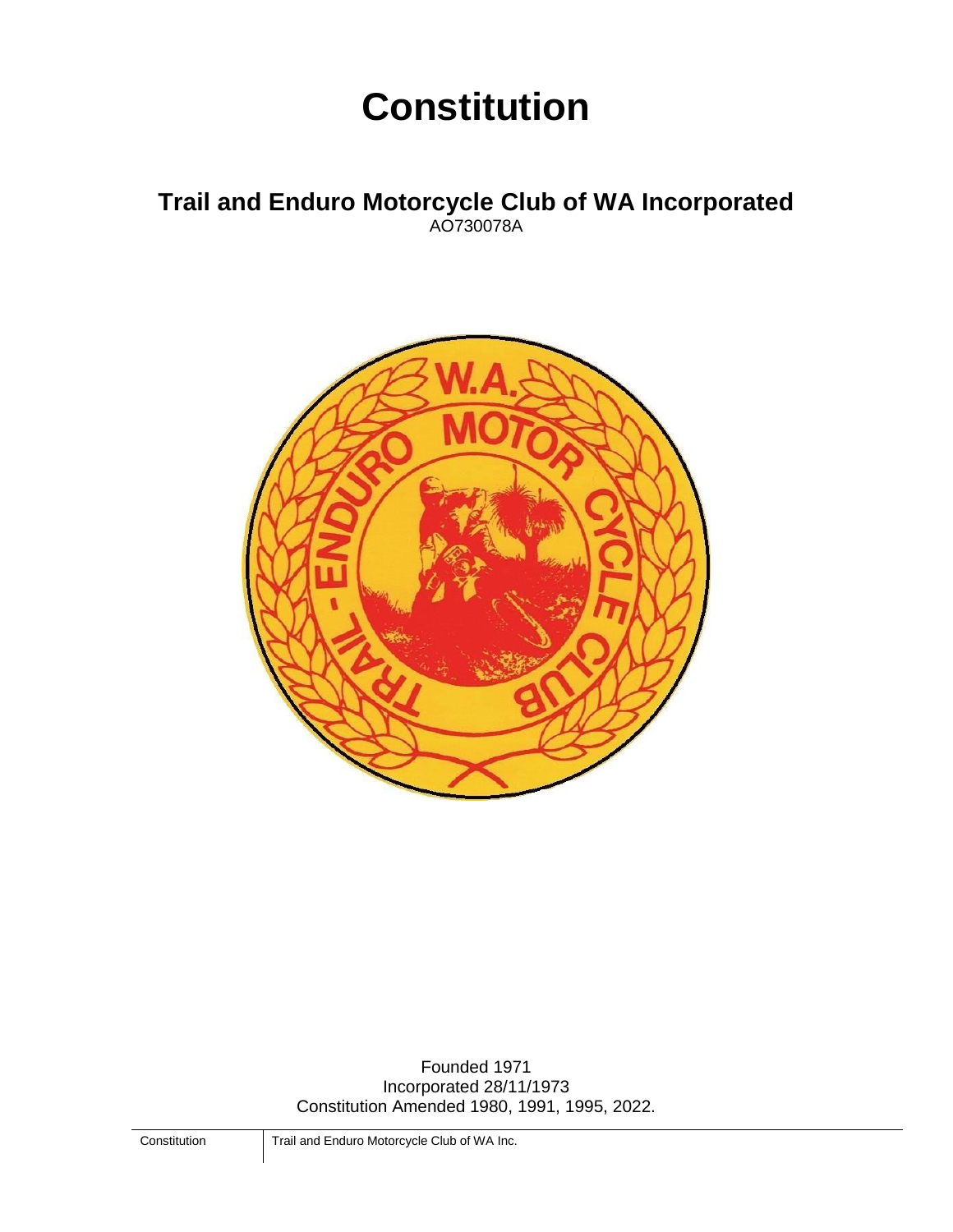# **Constitution**

## **Trail and Enduro Motorcycle Club of WA Incorporated** AO730078A



Founded 1971 Incorporated 28/11/1973 Constitution Amended 1980, 1991, 1995, 2022.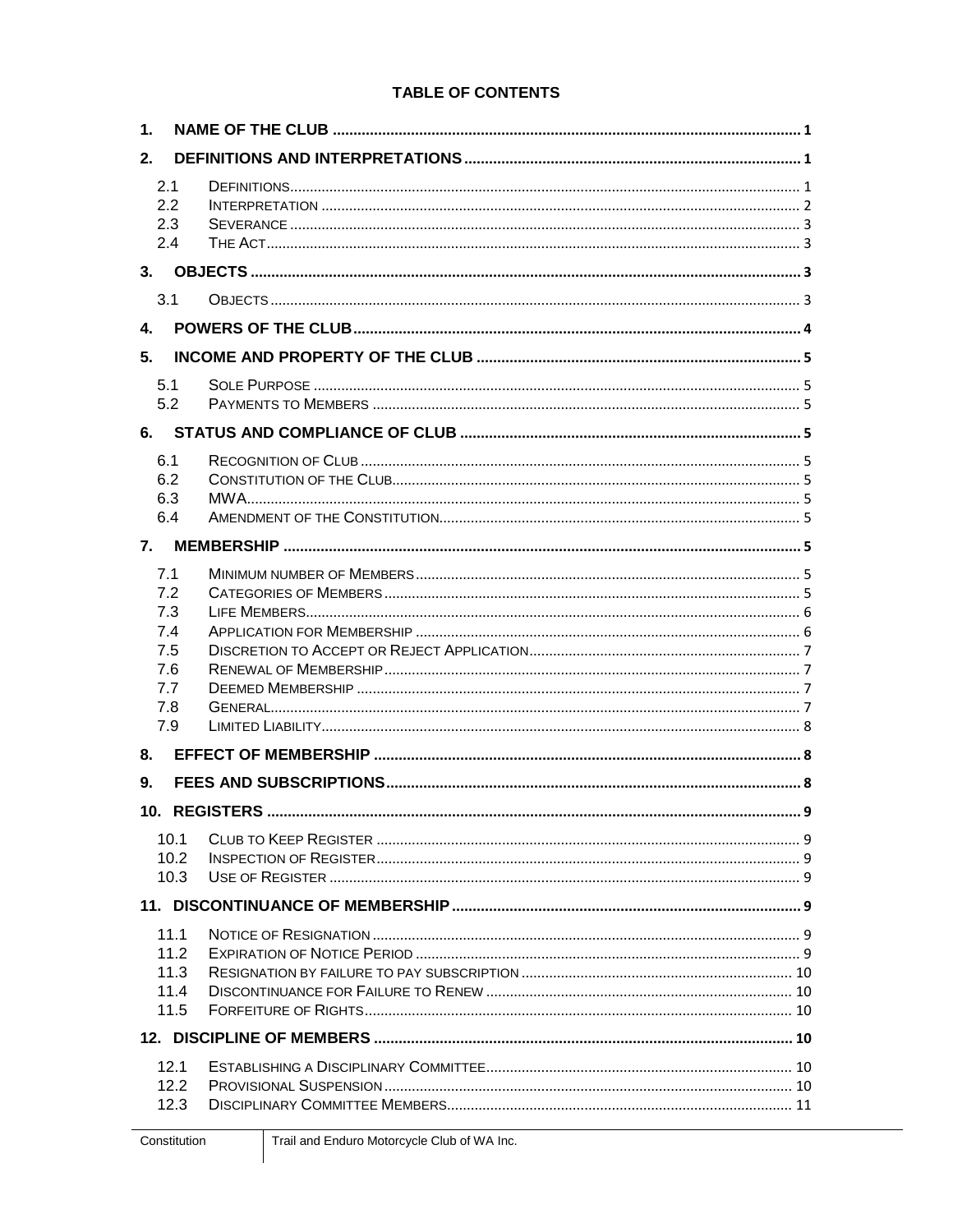## **TABLE OF CONTENTS**

| $\mathbf 1$ .                                               |  |  |  |  |
|-------------------------------------------------------------|--|--|--|--|
| 2.                                                          |  |  |  |  |
| 2.1<br>2.2<br>2.3<br>2.4                                    |  |  |  |  |
| 3.                                                          |  |  |  |  |
| 3.1                                                         |  |  |  |  |
| 4.                                                          |  |  |  |  |
| 5.                                                          |  |  |  |  |
| 5.1<br>5.2                                                  |  |  |  |  |
| 6.                                                          |  |  |  |  |
| 6.1<br>6.2<br>6.3<br>6.4                                    |  |  |  |  |
| 7.                                                          |  |  |  |  |
| 7.1<br>7.2<br>7.3<br>7.4<br>7.5<br>7.6<br>7.7<br>7.8<br>7.9 |  |  |  |  |
| 8.                                                          |  |  |  |  |
| 9.                                                          |  |  |  |  |
| 10.1<br>10.2<br>10.3                                        |  |  |  |  |
|                                                             |  |  |  |  |
| 11.1<br>11.2<br>11.3<br>11.4<br>11.5                        |  |  |  |  |
|                                                             |  |  |  |  |
| 12.1<br>12.2<br>12.3                                        |  |  |  |  |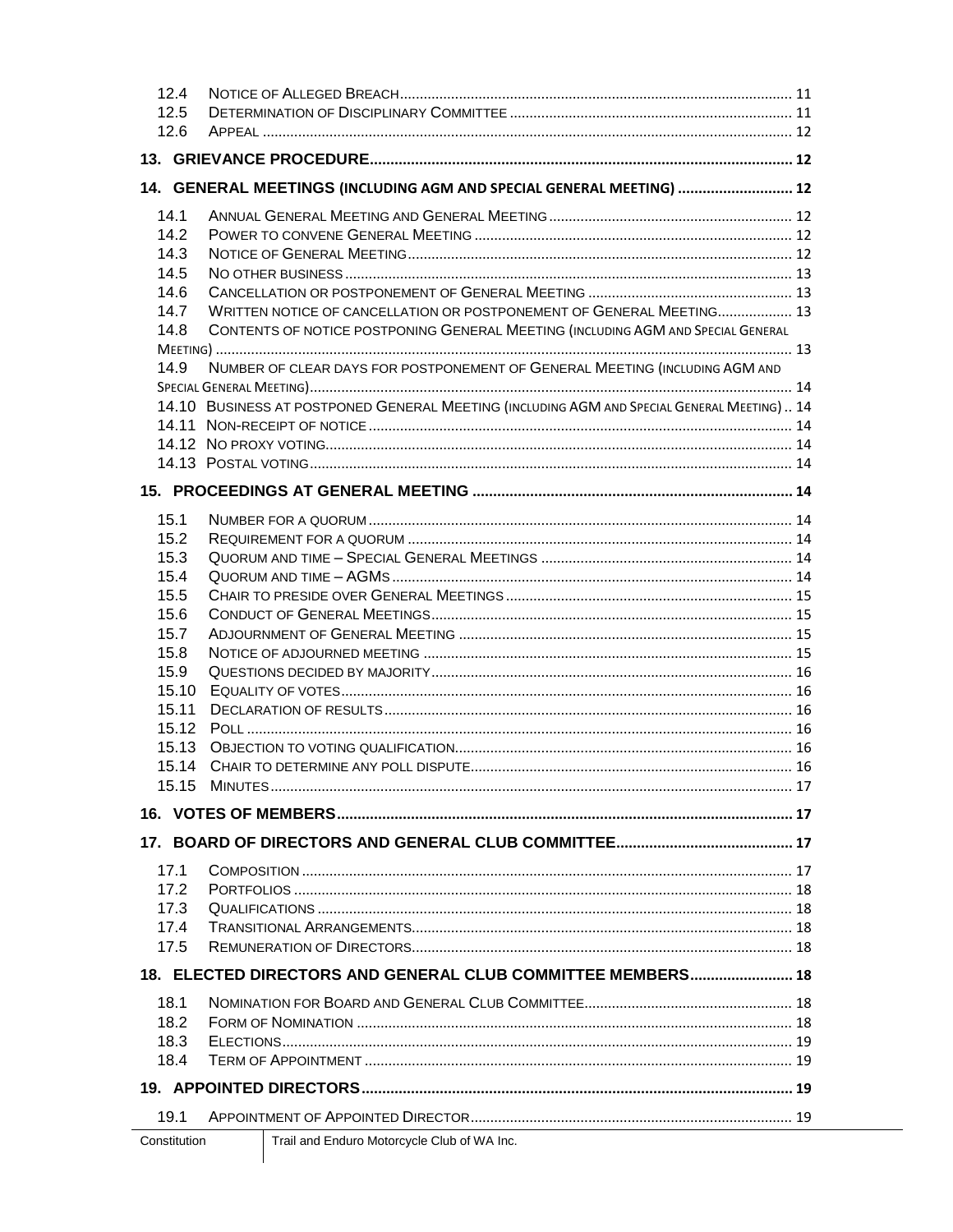| 12.4         |                                                                                            |  |  |  |
|--------------|--------------------------------------------------------------------------------------------|--|--|--|
| 12.5         |                                                                                            |  |  |  |
| 12.6         |                                                                                            |  |  |  |
|              |                                                                                            |  |  |  |
|              | 14. GENERAL MEETINGS (INCLUDING AGM AND SPECIAL GENERAL MEETING)  12                       |  |  |  |
|              |                                                                                            |  |  |  |
| 14.1         |                                                                                            |  |  |  |
| 14.2<br>14.3 |                                                                                            |  |  |  |
| 14.5         |                                                                                            |  |  |  |
| 14.6         |                                                                                            |  |  |  |
| 14.7         | WRITTEN NOTICE OF CANCELLATION OR POSTPONEMENT OF GENERAL MEETING 13                       |  |  |  |
| 14.8         | CONTENTS OF NOTICE POSTPONING GENERAL MEETING (INCLUDING AGM AND SPECIAL GENERAL           |  |  |  |
|              |                                                                                            |  |  |  |
| 14.9         | NUMBER OF CLEAR DAYS FOR POSTPONEMENT OF GENERAL MEETING (INCLUDING AGM AND                |  |  |  |
|              |                                                                                            |  |  |  |
|              | 14.10 BUSINESS AT POSTPONED GENERAL MEETING (INCLUDING AGM AND SPECIAL GENERAL MEETING) 14 |  |  |  |
|              |                                                                                            |  |  |  |
|              |                                                                                            |  |  |  |
|              |                                                                                            |  |  |  |
|              |                                                                                            |  |  |  |
|              |                                                                                            |  |  |  |
| 15.1         |                                                                                            |  |  |  |
| 15.2         |                                                                                            |  |  |  |
| 15.3         |                                                                                            |  |  |  |
| 15.4         |                                                                                            |  |  |  |
| 15.5         |                                                                                            |  |  |  |
| 15.6<br>15.7 |                                                                                            |  |  |  |
| 15.8         |                                                                                            |  |  |  |
| 15.9         |                                                                                            |  |  |  |
| 15.10        |                                                                                            |  |  |  |
| 15.11        |                                                                                            |  |  |  |
|              |                                                                                            |  |  |  |
| 15.13        |                                                                                            |  |  |  |
|              |                                                                                            |  |  |  |
|              |                                                                                            |  |  |  |
|              |                                                                                            |  |  |  |
|              |                                                                                            |  |  |  |
|              |                                                                                            |  |  |  |
| 17.1         |                                                                                            |  |  |  |
| 17.2         |                                                                                            |  |  |  |
| 17.3         |                                                                                            |  |  |  |
| 17.4         |                                                                                            |  |  |  |
| 17.5         |                                                                                            |  |  |  |
|              | 18. ELECTED DIRECTORS AND GENERAL CLUB COMMITTEE MEMBERS 18                                |  |  |  |
| 18.1         |                                                                                            |  |  |  |
| 18.2         |                                                                                            |  |  |  |
| 18.3         |                                                                                            |  |  |  |
| 18.4         |                                                                                            |  |  |  |
|              |                                                                                            |  |  |  |
| 19.1         |                                                                                            |  |  |  |
|              | The it and Fundamental Objects of the final                                                |  |  |  |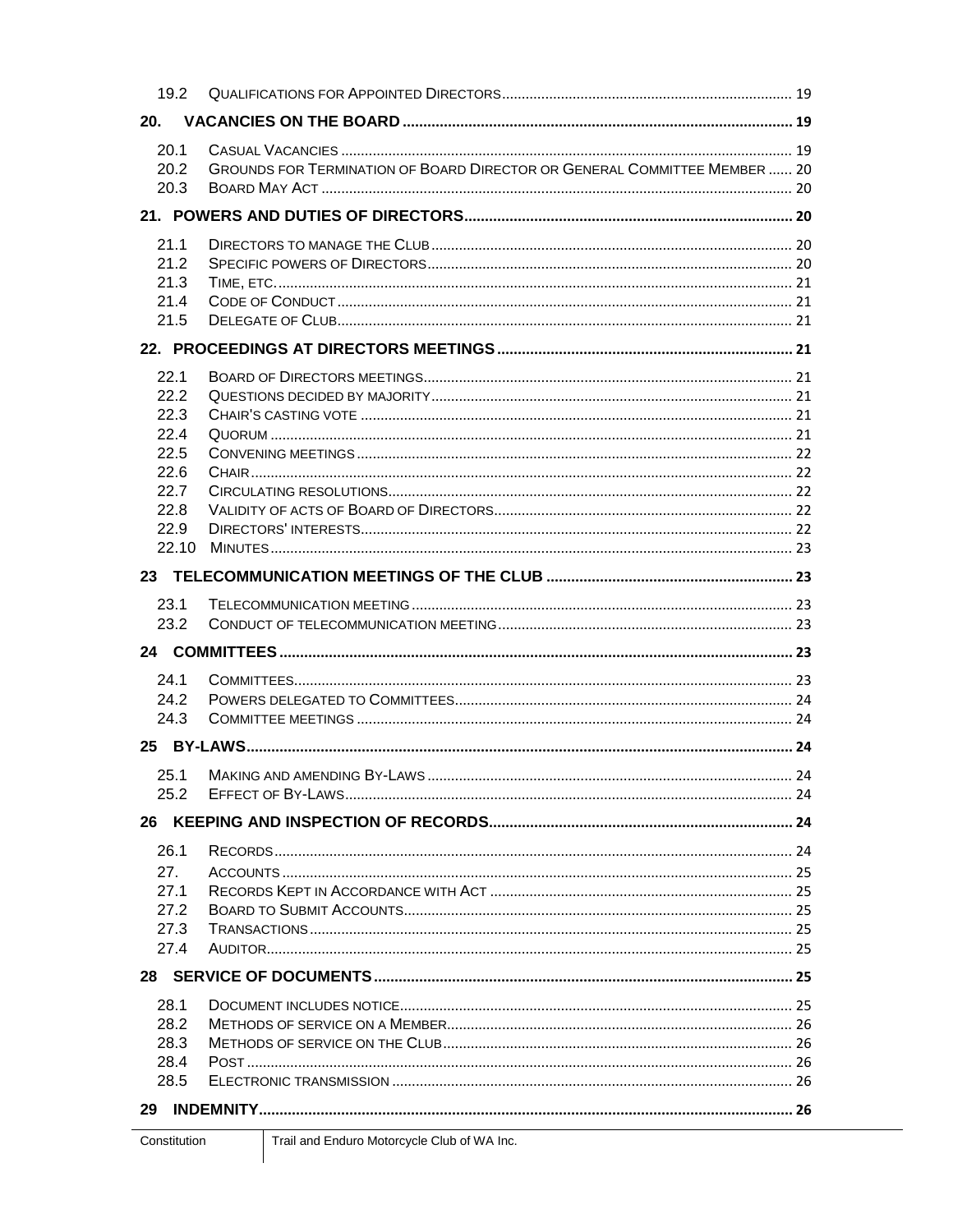| 19.2          |                                                                           |  |  |  |
|---------------|---------------------------------------------------------------------------|--|--|--|
| 20.           |                                                                           |  |  |  |
| 20.1          |                                                                           |  |  |  |
| 20.2          | GROUNDS FOR TERMINATION OF BOARD DIRECTOR OR GENERAL COMMITTEE MEMBER  20 |  |  |  |
| 20.3          |                                                                           |  |  |  |
|               |                                                                           |  |  |  |
| 21.1          |                                                                           |  |  |  |
| 21.2          |                                                                           |  |  |  |
| 21.3          |                                                                           |  |  |  |
| 21.4          |                                                                           |  |  |  |
| 21.5          |                                                                           |  |  |  |
|               |                                                                           |  |  |  |
| 22.1          |                                                                           |  |  |  |
| 222           |                                                                           |  |  |  |
| 22.3          |                                                                           |  |  |  |
| 22.4          |                                                                           |  |  |  |
| 22.5          |                                                                           |  |  |  |
| 22.6          |                                                                           |  |  |  |
| 22.7          |                                                                           |  |  |  |
| 22.8          |                                                                           |  |  |  |
| 22.9<br>22.10 |                                                                           |  |  |  |
|               |                                                                           |  |  |  |
|               |                                                                           |  |  |  |
| 23.1          |                                                                           |  |  |  |
| 23.2          |                                                                           |  |  |  |
|               |                                                                           |  |  |  |
| 24.1          |                                                                           |  |  |  |
| 24.2          |                                                                           |  |  |  |
| 24.3          |                                                                           |  |  |  |
|               |                                                                           |  |  |  |
| 25.1          |                                                                           |  |  |  |
| 25.2          |                                                                           |  |  |  |
|               |                                                                           |  |  |  |
| 26.1          |                                                                           |  |  |  |
| 27.           |                                                                           |  |  |  |
| 27.1          |                                                                           |  |  |  |
| 27.2          |                                                                           |  |  |  |
| 27.3          |                                                                           |  |  |  |
| 27.4          |                                                                           |  |  |  |
|               |                                                                           |  |  |  |
| 28.1          |                                                                           |  |  |  |
| 28.2          |                                                                           |  |  |  |
| 28.3          |                                                                           |  |  |  |
| 28.4          |                                                                           |  |  |  |
| 28.5          |                                                                           |  |  |  |
| 29            |                                                                           |  |  |  |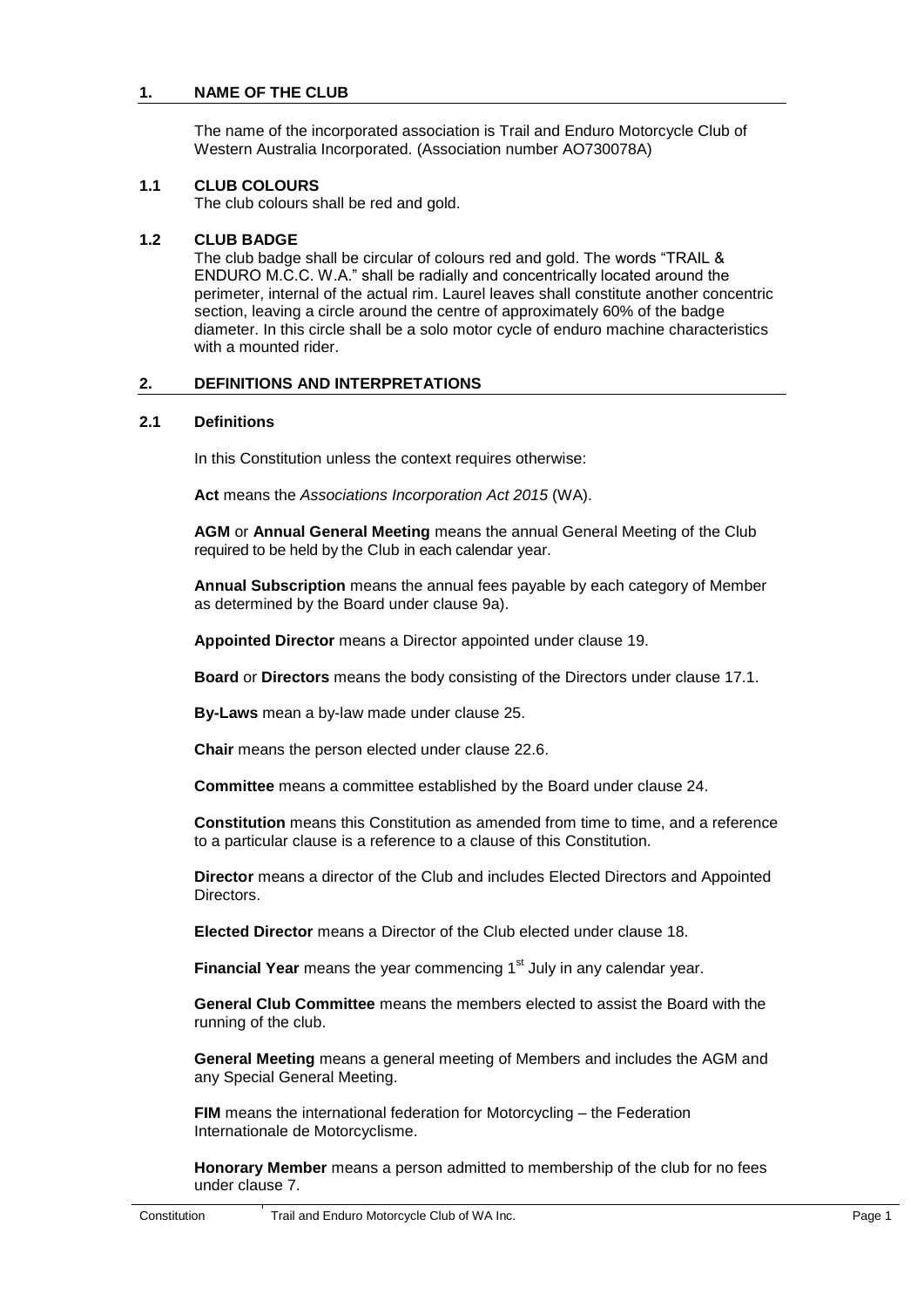## <span id="page-5-0"></span>**1. NAME OF THE CLUB**

The name of the incorporated association is Trail and Enduro Motorcycle Club of Western Australia Incorporated. (Association number AO730078A)

#### **1.1 CLUB COLOURS**

The club colours shall be red and gold.

#### <span id="page-5-1"></span>**1.2 CLUB BADGE**

The club badge shall be circular of colours red and gold. The words "TRAIL & ENDURO M.C.C. W.A." shall be radially and concentrically located around the perimeter, internal of the actual rim. Laurel leaves shall constitute another concentric section, leaving a circle around the centre of approximately 60% of the badge diameter. In this circle shall be a solo motor cycle of enduro machine characteristics with a mounted rider.

#### <span id="page-5-2"></span>**2. DEFINITIONS AND INTERPRETATIONS**

#### **2.1 Definitions**

In this Constitution unless the context requires otherwise:

**Act** means the *Associations Incorporation Act 2015* (WA).

**AGM** or **Annual General Meeting** means the annual General Meeting of the Club required to be held by the Club in each calendar year.

**Annual Subscription** means the annual fees payable by each category of Member as determined by the Board under clause [9a\).](#page-12-3)

**Appointed Director** means a Director appointed under clause [19.](#page-23-7)

**Board** or **Directors** means the body consisting of the Directors under clause [17.1.](#page-21-4)

**By-Laws** mean a by-law made under clause [25.](#page-28-7)

**Chair** means the person elected under clause 22.6.

**Committee** means a committee established by the Board under clause [24.](#page-27-6)

**Constitution** means this Constitution as amended from time to time, and a reference to a particular clause is a reference to a clause of this Constitution.

**Director** means a director of the Club and includes Elected Directors and Appointed **Directors** 

**Elected Director** means a Director of the Club elected under clause [18.](#page-22-7)

Financial Year means the year commencing 1<sup>st</sup> July in any calendar year.

**General Club Committee** means the members elected to assist the Board with the running of the club.

**General Meeting** means a general meeting of Members and includes the AGM and any Special General Meeting.

**FIM** means the international federation for Motorcycling – the Federation Internationale de Motorcyclisme.

**Honorary Member** means a person admitted to membership of the club for no fees under clause 7.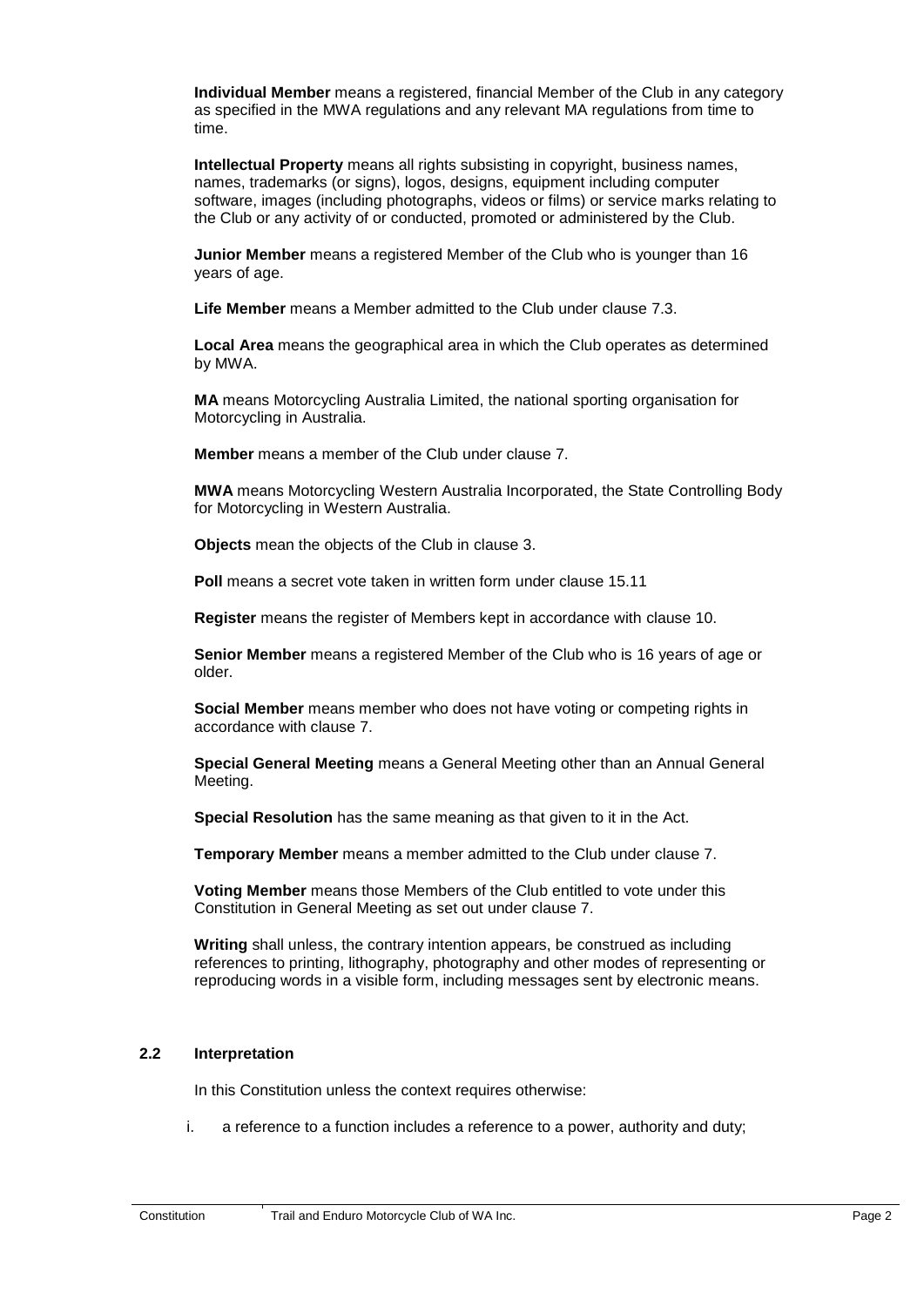**Individual Member** means a registered, financial Member of the Club in any category as specified in the MWA regulations and any relevant MA regulations from time to time.

**Intellectual Property** means all rights subsisting in copyright, business names, names, trademarks (or signs), logos, designs, equipment including computer software, images (including photographs, videos or films) or service marks relating to the Club or any activity of or conducted, promoted or administered by the Club.

**Junior Member** means a registered Member of the Club who is younger than 16 years of age.

**Life Member** means a Member admitted to the Club under clause 7.3.

**Local Area** means the geographical area in which the Club operates as determined by MWA.

**MA** means Motorcycling Australia Limited, the national sporting organisation for Motorcycling in Australia.

**Member** means a member of the Club under clause [7.](#page-9-11)

**MWA** means Motorcycling Western Australia Incorporated, the State Controlling Body for Motorcycling in Western Australia.

**Objects** mean the objects of the Club in clause 3.

**Poll** means a secret vote taken in written form under clause 15.11

**Register** means the register of Members kept in accordance with clause [10.](#page-13-7)

**Senior Member** means a registered Member of the Club who is 16 years of age or older.

**Social Member** means member who does not have voting or competing rights in accordance with clause 7.

**Special General Meeting** means a General Meeting other than an Annual General Meeting.

**Special Resolution** has the same meaning as that given to it in the Act.

**Temporary Member** means a member admitted to the Club under clause 7.

**Voting Member** means those Members of the Club entitled to vote under this Constitution in General Meeting as set out under clause 7.

<span id="page-6-0"></span>**Writing** shall unless, the contrary intention appears, be construed as including references to printing, lithography, photography and other modes of representing or reproducing words in a visible form, including messages sent by electronic means.

#### **2.2 Interpretation**

In this Constitution unless the context requires otherwise:

i. a reference to a function includes a reference to a power, authority and duty;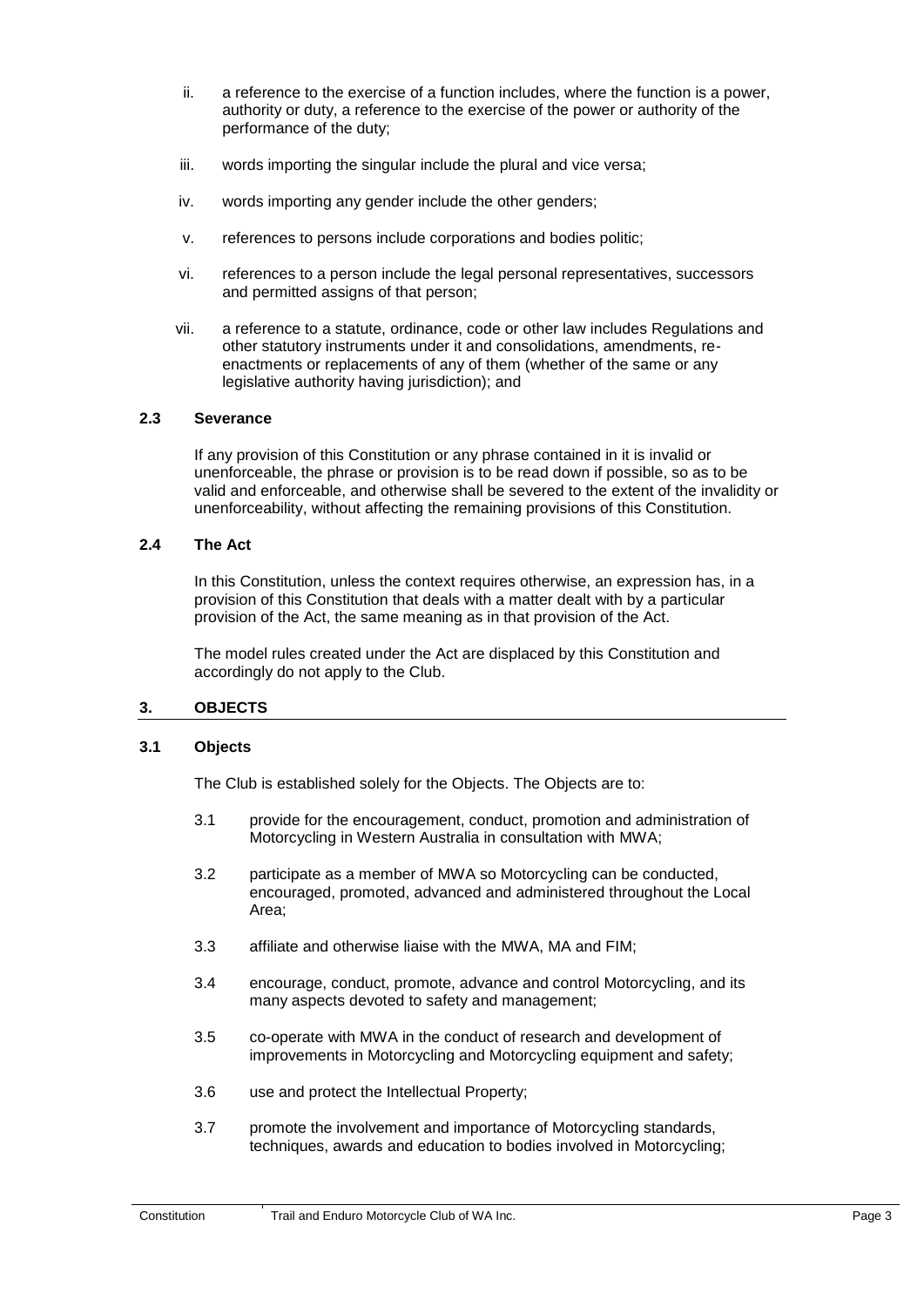- ii. a reference to the exercise of a function includes, where the function is a power, authority or duty, a reference to the exercise of the power or authority of the performance of the duty;
- iii. words importing the singular include the plural and vice versa;
- iv. words importing any gender include the other genders;
- v. references to persons include corporations and bodies politic;
- vi. references to a person include the legal personal representatives, successors and permitted assigns of that person;
- <span id="page-7-0"></span>vii. a reference to a statute, ordinance, code or other law includes Regulations and other statutory instruments under it and consolidations, amendments, reenactments or replacements of any of them (whether of the same or any legislative authority having jurisdiction); and

#### <span id="page-7-1"></span>**2.3 Severance**

If any provision of this Constitution or any phrase contained in it is invalid or unenforceable, the phrase or provision is to be read down if possible, so as to be valid and enforceable, and otherwise shall be severed to the extent of the invalidity or unenforceability, without affecting the remaining provisions of this Constitution.

#### **2.4 The Act**

In this Constitution, unless the context requires otherwise, an expression has, in a provision of this Constitution that deals with a matter dealt with by a particular provision of the Act, the same meaning as in that provision of the Act.

<span id="page-7-2"></span>The model rules created under the Act are displaced by this Constitution and accordingly do not apply to the Club.

#### <span id="page-7-3"></span>**3. OBJECTS**

#### **3.1 Objects**

The Club is established solely for the Objects. The Objects are to:

- 3.1 provide for the encouragement, conduct, promotion and administration of Motorcycling in Western Australia in consultation with MWA;
- 3.2 participate as a member of MWA so Motorcycling can be conducted, encouraged, promoted, advanced and administered throughout the Local Area;
- 3.3 affiliate and otherwise liaise with the MWA, MA and FIM;
- 3.4 encourage, conduct, promote, advance and control Motorcycling, and its many aspects devoted to safety and management;
- 3.5 co-operate with MWA in the conduct of research and development of improvements in Motorcycling and Motorcycling equipment and safety;
- 3.6 use and protect the Intellectual Property;
- 3.7 promote the involvement and importance of Motorcycling standards, techniques, awards and education to bodies involved in Motorcycling;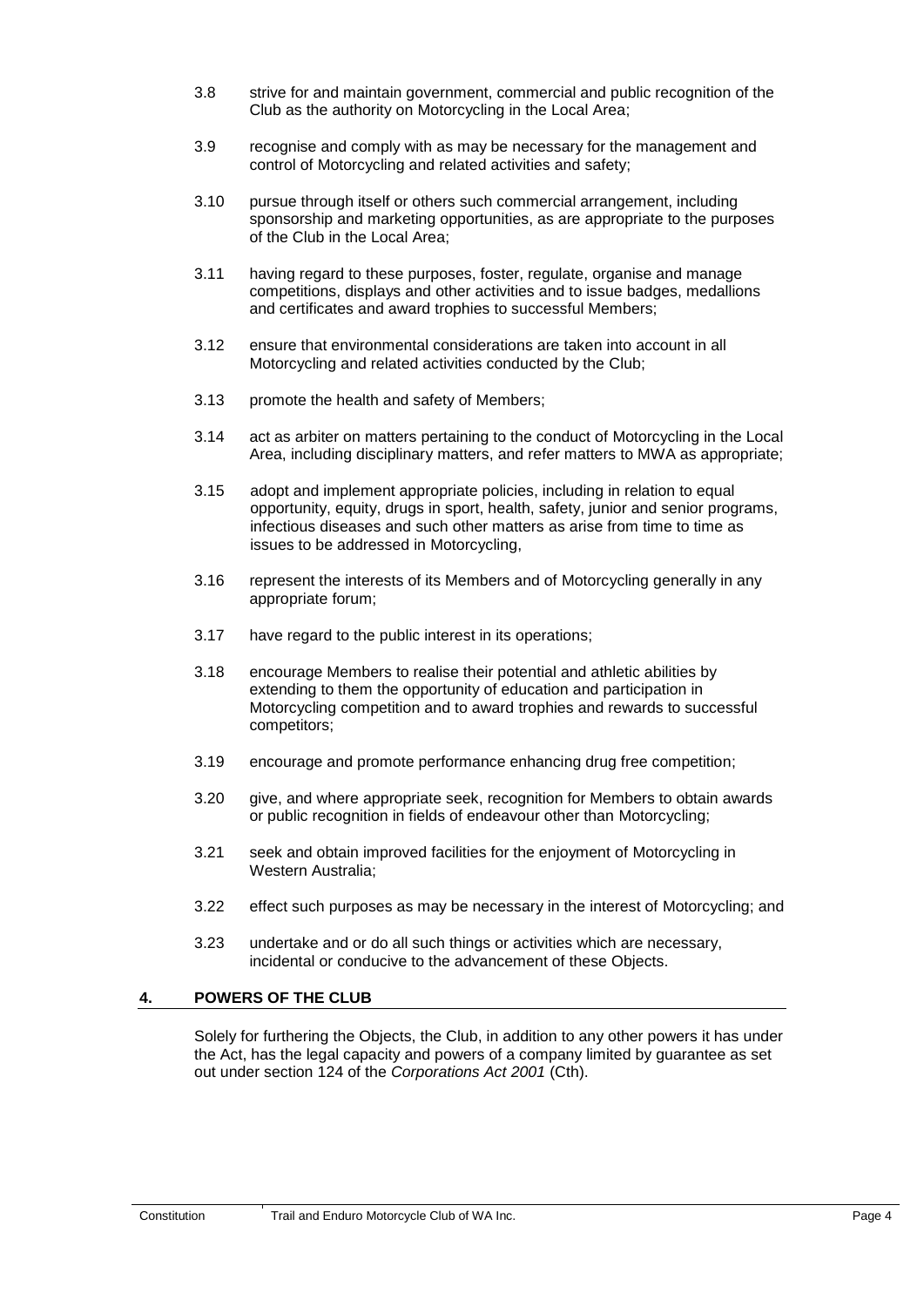- 3.8 strive for and maintain government, commercial and public recognition of the Club as the authority on Motorcycling in the Local Area;
- 3.9 recognise and comply with as may be necessary for the management and control of Motorcycling and related activities and safety;
- 3.10 pursue through itself or others such commercial arrangement, including sponsorship and marketing opportunities, as are appropriate to the purposes of the Club in the Local Area;
- 3.11 having regard to these purposes, foster, regulate, organise and manage competitions, displays and other activities and to issue badges, medallions and certificates and award trophies to successful Members;
- 3.12 ensure that environmental considerations are taken into account in all Motorcycling and related activities conducted by the Club;
- 3.13 promote the health and safety of Members;
- 3.14 act as arbiter on matters pertaining to the conduct of Motorcycling in the Local Area, including disciplinary matters, and refer matters to MWA as appropriate;
- 3.15 adopt and implement appropriate policies, including in relation to equal opportunity, equity, drugs in sport, health, safety, junior and senior programs, infectious diseases and such other matters as arise from time to time as issues to be addressed in Motorcycling,
- 3.16 represent the interests of its Members and of Motorcycling generally in any appropriate forum;
- 3.17 have regard to the public interest in its operations;
- 3.18 encourage Members to realise their potential and athletic abilities by extending to them the opportunity of education and participation in Motorcycling competition and to award trophies and rewards to successful competitors;
- 3.19 encourage and promote performance enhancing drug free competition;
- 3.20 give, and where appropriate seek, recognition for Members to obtain awards or public recognition in fields of endeavour other than Motorcycling;
- 3.21 seek and obtain improved facilities for the enjoyment of Motorcycling in Western Australia;
- <span id="page-8-0"></span>3.22 effect such purposes as may be necessary in the interest of Motorcycling; and
- 3.23 undertake and or do all such things or activities which are necessary, incidental or conducive to the advancement of these Objects.

## **4. POWERS OF THE CLUB**

Solely for furthering the Objects, the Club, in addition to any other powers it has under the Act, has the legal capacity and powers of a company limited by guarantee as set out under section 124 of the *Corporations Act 2001* (Cth).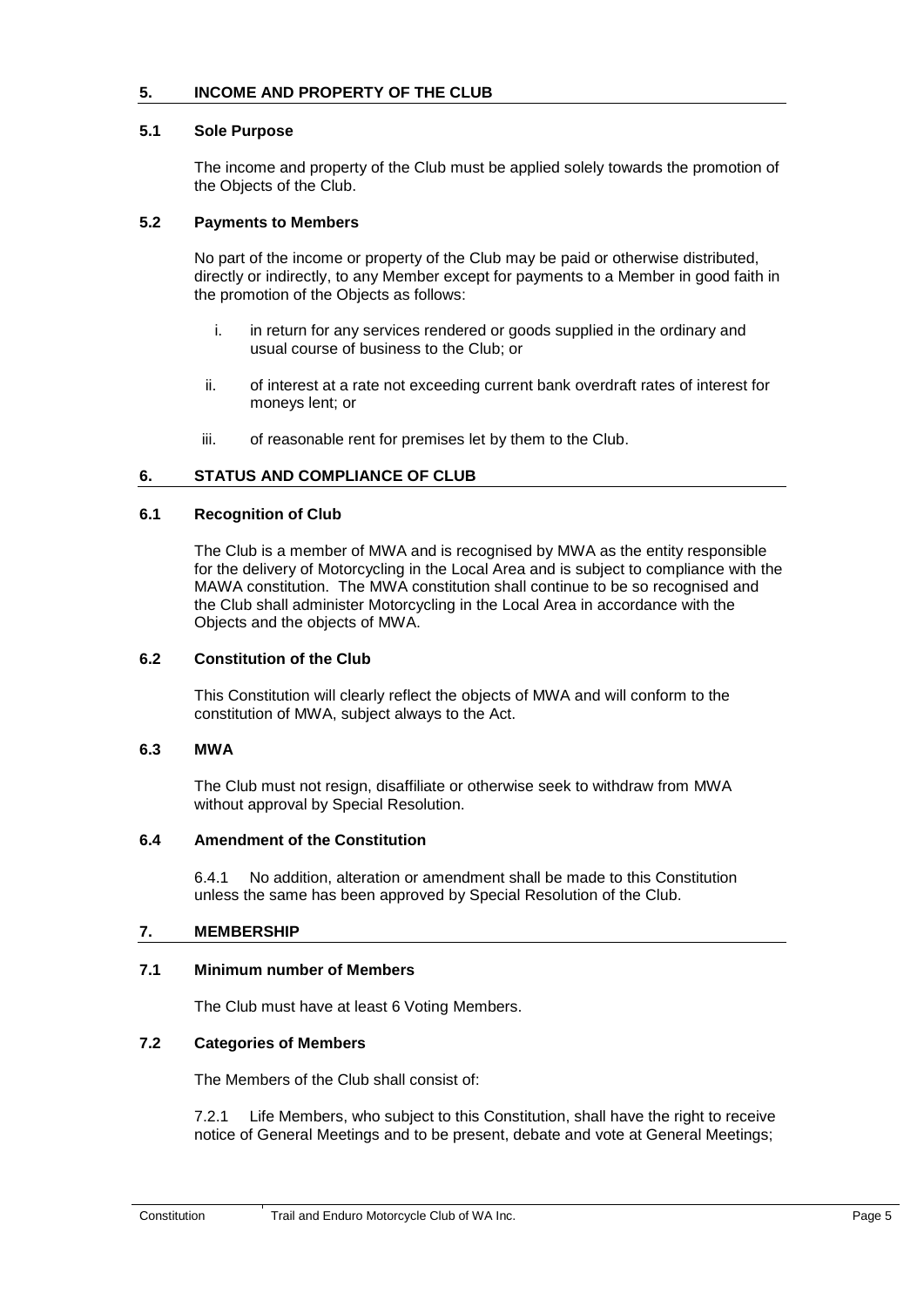## <span id="page-9-1"></span><span id="page-9-0"></span>**5. INCOME AND PROPERTY OF THE CLUB**

#### <span id="page-9-2"></span>**5.1 Sole Purpose**

The income and property of the Club must be applied solely towards the promotion of the Objects of the Club.

#### **5.2 Payments to Members**

No part of the income or property of the Club may be paid or otherwise distributed, directly or indirectly, to any Member except for payments to a Member in good faith in the promotion of the Objects as follows:

- i. in return for any services rendered or goods supplied in the ordinary and usual course of business to the Club; or
- <span id="page-9-3"></span>ii. of interest at a rate not exceeding current bank overdraft rates of interest for moneys lent; or
- iii. of reasonable rent for premises let by them to the Club.

#### <span id="page-9-4"></span>**6. STATUS AND COMPLIANCE OF CLUB**

#### <span id="page-9-5"></span>**6.1 Recognition of Club**

The Club is a member of MWA and is recognised by MWA as the entity responsible for the delivery of Motorcycling in the Local Area and is subject to compliance with the MAWA constitution. The MWA constitution shall continue to be so recognised and the Club shall administer Motorcycling in the Local Area in accordance with the Objects and the objects of MWA.

#### <span id="page-9-6"></span>**6.2 Constitution of the Club**

This Constitution will clearly reflect the objects of MWA and will conform to the constitution of MWA, subject always to the Act.

#### <span id="page-9-7"></span>**6.3 MWA**

The Club must not resign, disaffiliate or otherwise seek to withdraw from MWA without approval by Special Resolution.

#### <span id="page-9-8"></span>**6.4 Amendment of the Constitution**

6.4.1 No addition, alteration or amendment shall be made to this Constitution unless the same has been approved by Special Resolution of the Club.

#### <span id="page-9-11"></span><span id="page-9-9"></span>**7. MEMBERSHIP**

#### <span id="page-9-10"></span>**7.1 Minimum number of Members**

The Club must have at least 6 Voting Members.

#### **7.2 Categories of Members**

The Members of the Club shall consist of:

7.2.1 Life Members, who subject to this Constitution, shall have the right to receive notice of General Meetings and to be present, debate and vote at General Meetings;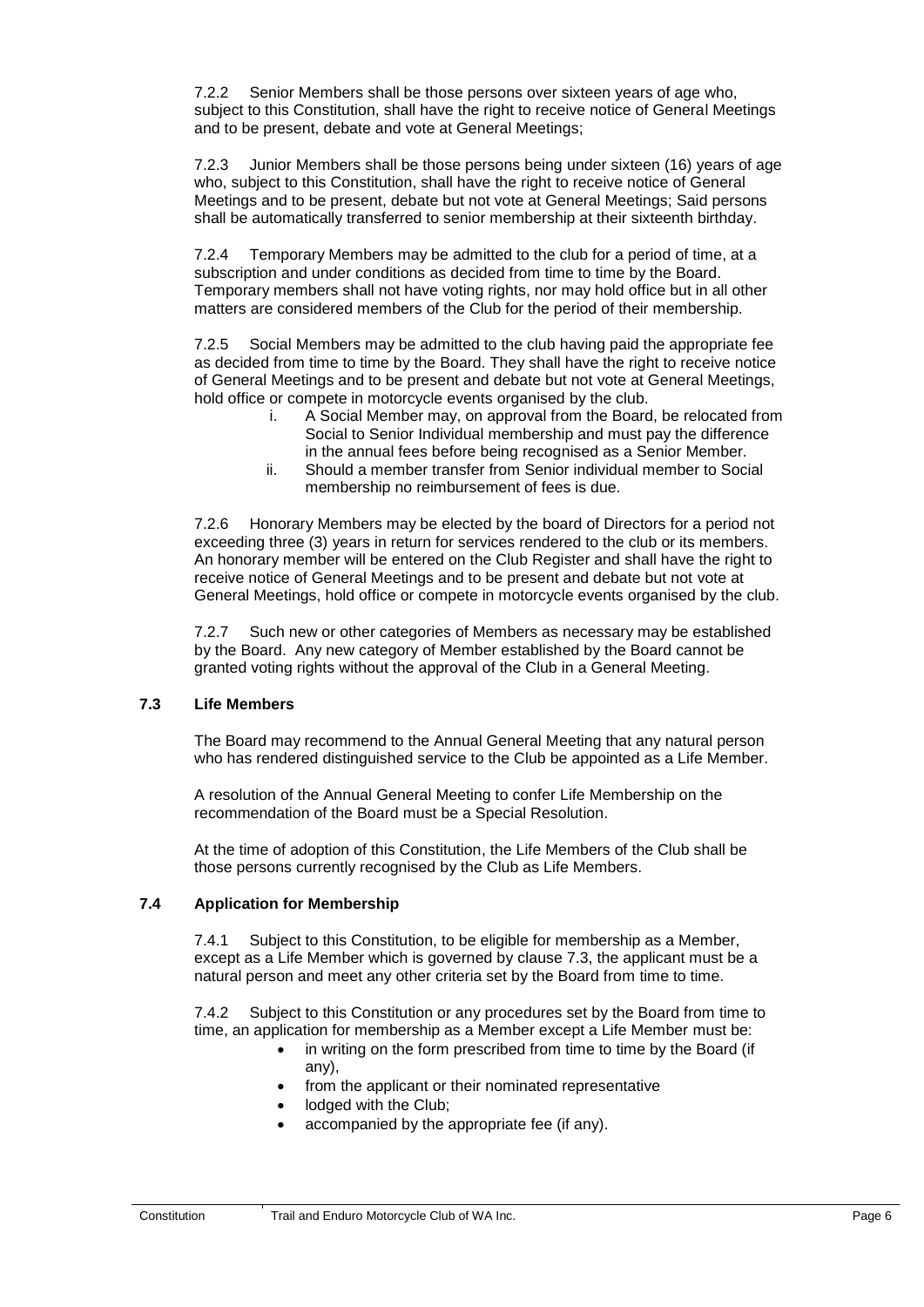7.2.2 Senior Members shall be those persons over sixteen years of age who, subject to this Constitution, shall have the right to receive notice of General Meetings and to be present, debate and vote at General Meetings;

7.2.3 Junior Members shall be those persons being under sixteen (16) years of age who, subject to this Constitution, shall have the right to receive notice of General Meetings and to be present, debate but not vote at General Meetings; Said persons shall be automatically transferred to senior membership at their sixteenth birthday.

7.2.4 Temporary Members may be admitted to the club for a period of time, at a subscription and under conditions as decided from time to time by the Board. Temporary members shall not have voting rights, nor may hold office but in all other matters are considered members of the Club for the period of their membership.

7.2.5 Social Members may be admitted to the club having paid the appropriate fee as decided from time to time by the Board. They shall have the right to receive notice of General Meetings and to be present and debate but not vote at General Meetings, hold office or compete in motorcycle events organised by the club.

- i. A Social Member may, on approval from the Board, be relocated from Social to Senior Individual membership and must pay the difference in the annual fees before being recognised as a Senior Member.
- ii. Should a member transfer from Senior individual member to Social membership no reimbursement of fees is due.

7.2.6 Honorary Members may be elected by the board of Directors for a period not exceeding three (3) years in return for services rendered to the club or its members. An honorary member will be entered on the Club Register and shall have the right to receive notice of General Meetings and to be present and debate but not vote at General Meetings, hold office or compete in motorcycle events organised by the club.

<span id="page-10-0"></span>7.2.7 Such new or other categories of Members as necessary may be established by the Board. Any new category of Member established by the Board cannot be granted voting rights without the approval of the Club in a General Meeting.

## **7.3 Life Members**

The Board may recommend to the Annual General Meeting that any natural person who has rendered distinguished service to the Club be appointed as a Life Member.

A resolution of the Annual General Meeting to confer Life Membership on the recommendation of the Board must be a Special Resolution.

<span id="page-10-1"></span>At the time of adoption of this Constitution, the Life Members of the Club shall be those persons currently recognised by the Club as Life Members.

## **7.4 Application for Membership**

7.4.1 Subject to this Constitution, to be eligible for membership as a Member, except as a Life Member which is governed by clause 7.3, the applicant must be a natural person and meet any other criteria set by the Board from time to time.

7.4.2 Subject to this Constitution or any procedures set by the Board from time to time, an application for membership as a Member except a Life Member must be:

- in writing on the form prescribed from time to time by the Board (if any),
- from the applicant or their nominated representative
- lodged with the Club;
- accompanied by the appropriate fee (if any).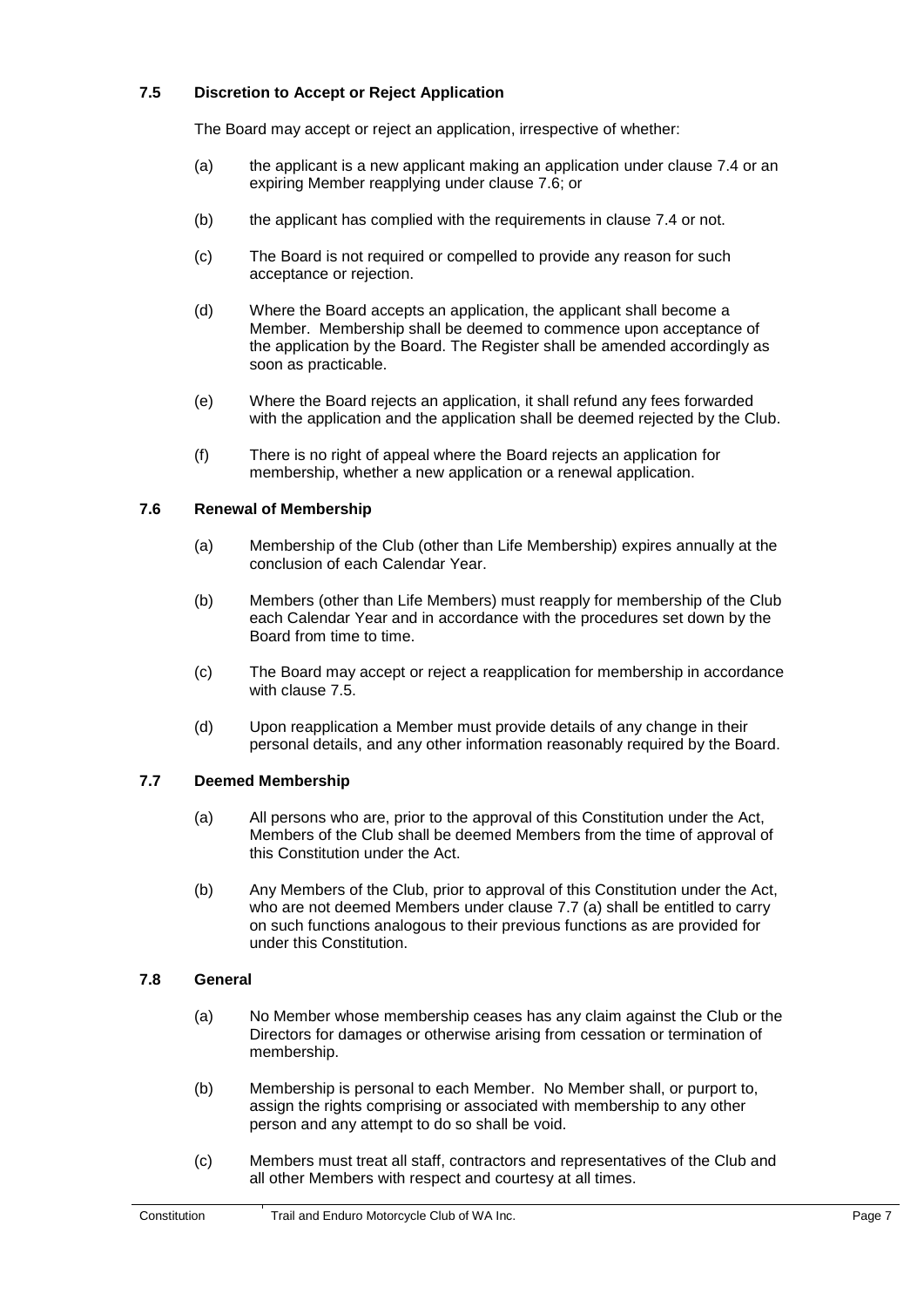## <span id="page-11-0"></span>**7.5 Discretion to Accept or Reject Application**

The Board may accept or reject an application, irrespective of whether:

- (a) the applicant is a new applicant making an application under clause 7.4 or an expiring Member reapplying under clause 7.6; or
- (b) the applicant has complied with the requirements in clause 7.4 or not.
- (c) The Board is not required or compelled to provide any reason for such acceptance or rejection.
- (d) Where the Board accepts an application, the applicant shall become a Member. Membership shall be deemed to commence upon acceptance of the application by the Board. The Register shall be amended accordingly as soon as practicable.
- (e) Where the Board rejects an application, it shall refund any fees forwarded with the application and the application shall be deemed rejected by the Club.
- <span id="page-11-1"></span>(f) There is no right of appeal where the Board rejects an application for membership, whether a new application or a renewal application.

## **7.6 Renewal of Membership**

- (a) Membership of the Club (other than Life Membership) expires annually at the conclusion of each Calendar Year.
- (b) Members (other than Life Members) must reapply for membership of the Club each Calendar Year and in accordance with the procedures set down by the Board from time to time.
- (c) The Board may accept or reject a reapplication for membership in accordance with clause 7.5.
- <span id="page-11-2"></span>(d) Upon reapplication a Member must provide details of any change in their personal details, and any other information reasonably required by the Board.

#### **7.7 Deemed Membership**

- (a) All persons who are, prior to the approval of this Constitution under the Act, Members of the Club shall be deemed Members from the time of approval of this Constitution under the Act.
- <span id="page-11-3"></span>(b) Any Members of the Club, prior to approval of this Constitution under the Act, who are not deemed Members under clause 7.7 (a) shall be entitled to carry on such functions analogous to their previous functions as are provided for under this Constitution.

#### **7.8 General**

- (a) No Member whose membership ceases has any claim against the Club or the Directors for damages or otherwise arising from cessation or termination of membership.
- (b) Membership is personal to each Member. No Member shall, or purport to, assign the rights comprising or associated with membership to any other person and any attempt to do so shall be void.
- (c) Members must treat all staff, contractors and representatives of the Club and all other Members with respect and courtesy at all times.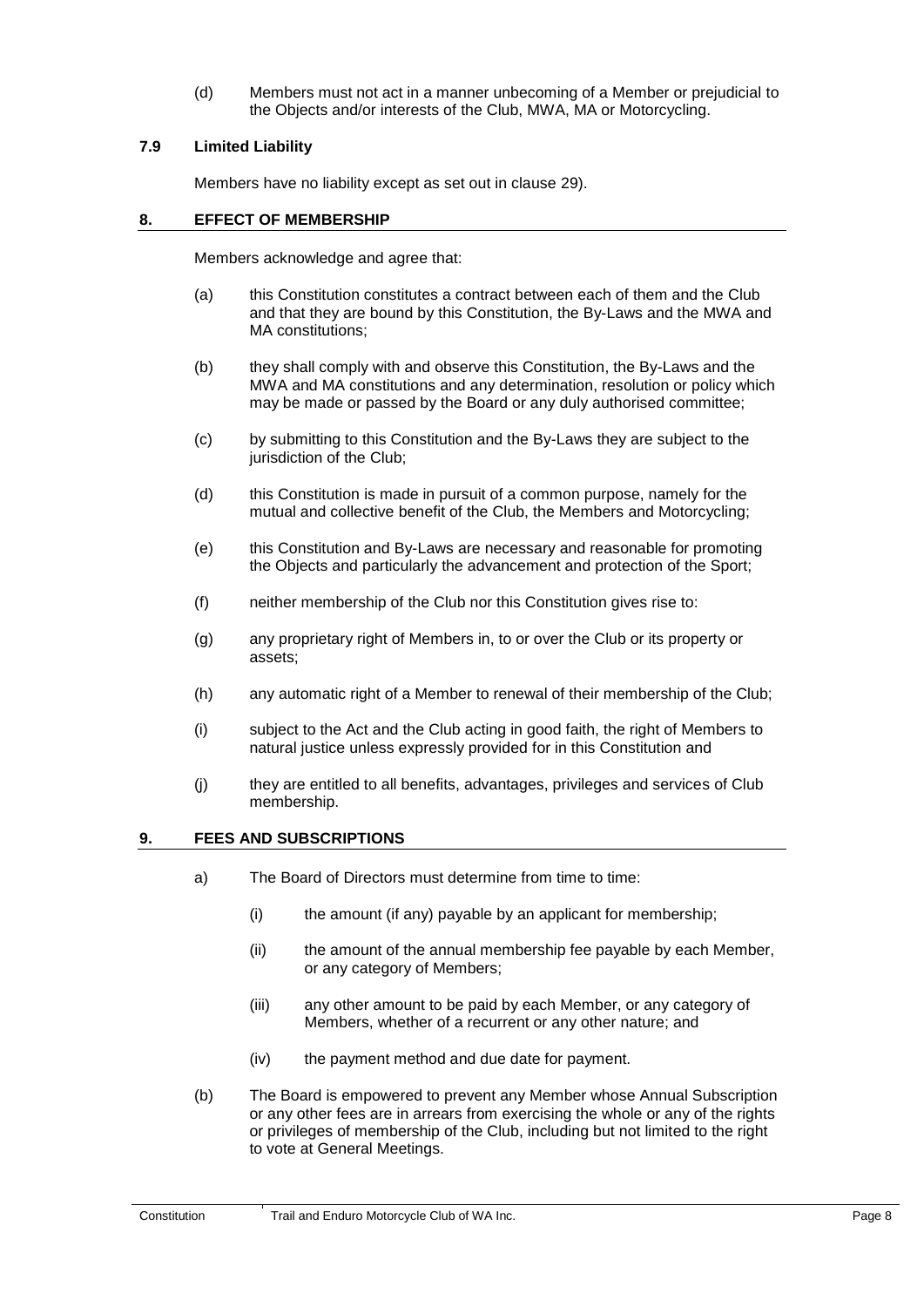<span id="page-12-0"></span>(d) Members must not act in a manner unbecoming of a Member or prejudicial to the Objects and/or interests of the Club, MWA, MA or Motorcycling.

## <span id="page-12-1"></span>**7.9 Limited Liability**

Members have no liability except as set out in clause 29).

#### **8. EFFECT OF MEMBERSHIP**

Members acknowledge and agree that:

- (a) this Constitution constitutes a contract between each of them and the Club and that they are bound by this Constitution, the By-Laws and the MWA and MA constitutions;
- (b) they shall comply with and observe this Constitution, the By-Laws and the MWA and MA constitutions and any determination, resolution or policy which may be made or passed by the Board or any duly authorised committee;
- (c) by submitting to this Constitution and the By-Laws they are subject to the jurisdiction of the Club:
- (d) this Constitution is made in pursuit of a common purpose, namely for the mutual and collective benefit of the Club, the Members and Motorcycling;
- (e) this Constitution and By-Laws are necessary and reasonable for promoting the Objects and particularly the advancement and protection of the Sport;
- (f) neither membership of the Club nor this Constitution gives rise to:
- (g) any proprietary right of Members in, to or over the Club or its property or assets;
- (h) any automatic right of a Member to renewal of their membership of the Club;
- (i) subject to the Act and the Club acting in good faith, the right of Members to natural justice unless expressly provided for in this Constitution and
- <span id="page-12-2"></span>(j) they are entitled to all benefits, advantages, privileges and services of Club membership.

#### <span id="page-12-3"></span>**9. FEES AND SUBSCRIPTIONS**

- a) The Board of Directors must determine from time to time:
	- $(i)$  the amount (if any) payable by an applicant for membership;
	- (ii) the amount of the annual membership fee payable by each Member, or any category of Members;
	- (iii) any other amount to be paid by each Member, or any category of Members, whether of a recurrent or any other nature; and
	- (iv) the payment method and due date for payment.
- <span id="page-12-4"></span>(b) The Board is empowered to prevent any Member whose Annual Subscription or any other fees are in arrears from exercising the whole or any of the rights or privileges of membership of the Club, including but not limited to the right to vote at General Meetings.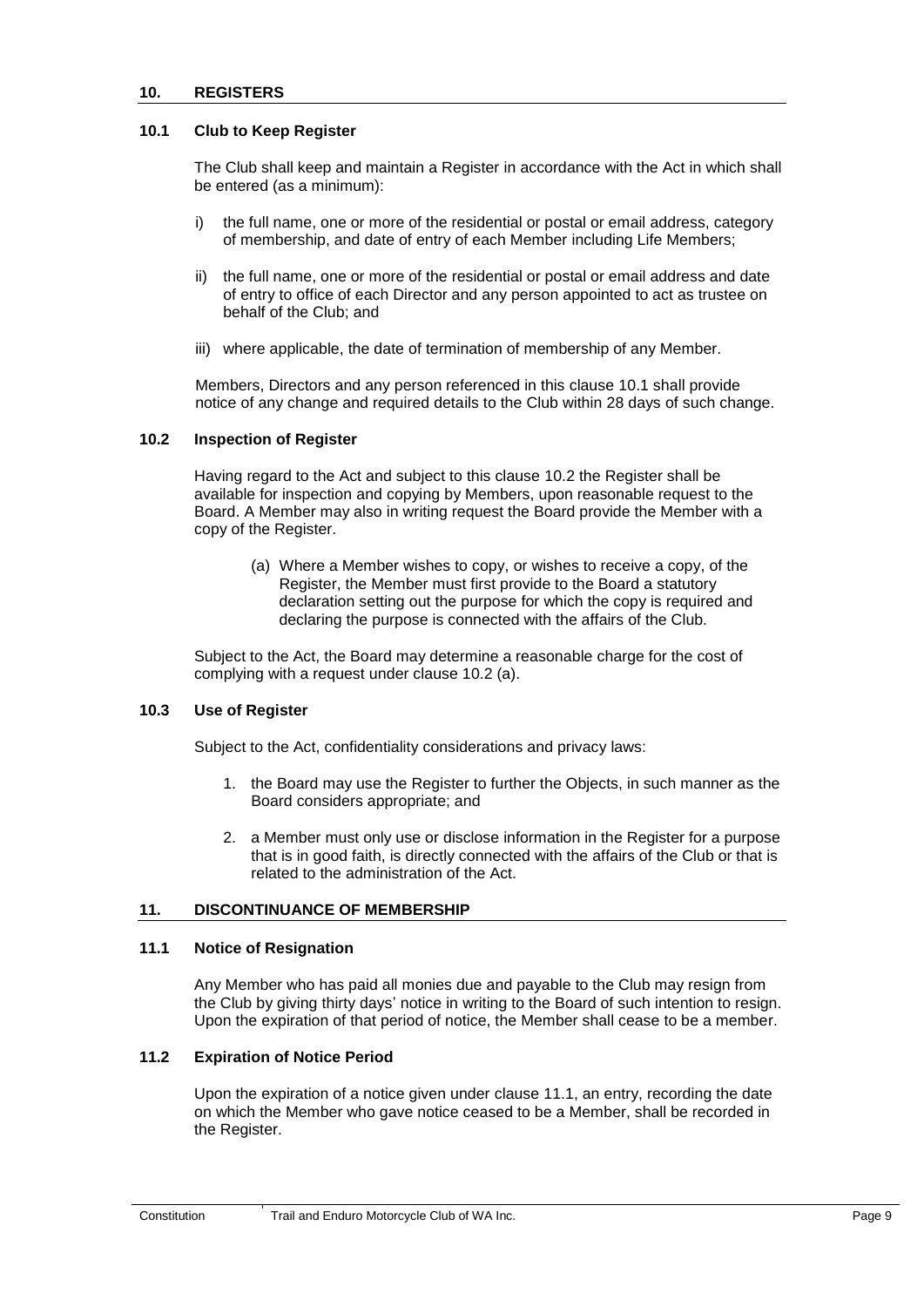#### <span id="page-13-7"></span><span id="page-13-1"></span><span id="page-13-0"></span>**10.1 Club to Keep Register**

The Club shall keep and maintain a Register in accordance with the Act in which shall be entered (as a minimum):

- i) the full name, one or more of the residential or postal or email address, category of membership, and date of entry of each Member including Life Members;
- ii) the full name, one or more of the residential or postal or email address and date of entry to office of each Director and any person appointed to act as trustee on behalf of the Club; and
- <span id="page-13-2"></span>iii) where applicable, the date of termination of membership of any Member.

Members, Directors and any person referenced in this clause 10.1 shall provide notice of any change and required details to the Club within 28 days of such change.

#### **10.2 Inspection of Register**

Having regard to the Act and subject to this clause 10.2 the Register shall be available for inspection and copying by Members, upon reasonable request to the Board. A Member may also in writing request the Board provide the Member with a copy of the Register.

(a) Where a Member wishes to copy, or wishes to receive a copy, of the Register, the Member must first provide to the Board a statutory declaration setting out the purpose for which the copy is required and declaring the purpose is connected with the affairs of the Club.

<span id="page-13-3"></span>Subject to the Act, the Board may determine a reasonable charge for the cost of complying with a request under clause 10.2 (a).

#### **10.3 Use of Register**

Subject to the Act, confidentiality considerations and privacy laws:

- 1. the Board may use the Register to further the Objects, in such manner as the Board considers appropriate; and
- 2. a Member must only use or disclose information in the Register for a purpose that is in good faith, is directly connected with the affairs of the Club or that is related to the administration of the Act.

#### <span id="page-13-5"></span><span id="page-13-4"></span>**11. DISCONTINUANCE OF MEMBERSHIP**

#### <span id="page-13-6"></span>**11.1 Notice of Resignation**

Any Member who has paid all monies due and payable to the Club may resign from the Club by giving thirty days' notice in writing to the Board of such intention to resign. Upon the expiration of that period of notice, the Member shall cease to be a member.

#### **11.2 Expiration of Notice Period**

Upon the expiration of a notice given under clause 11.1, an entry, recording the date on which the Member who gave notice ceased to be a Member, shall be recorded in the Register.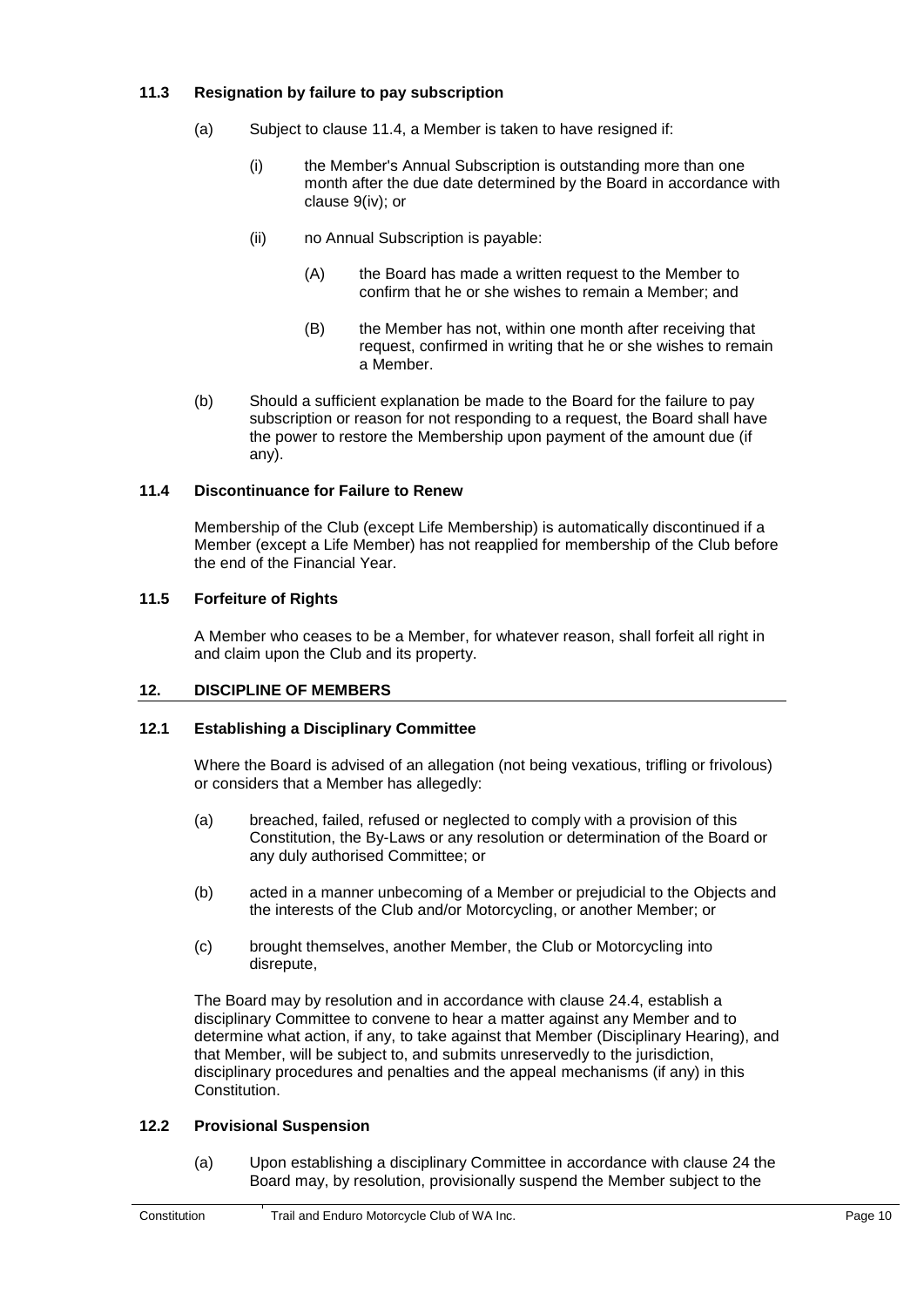## <span id="page-14-0"></span>**11.3 Resignation by failure to pay subscription**

- (a) Subject to clause 11.4, a Member is taken to have resigned if:
	- (i) the Member's Annual Subscription is outstanding more than one month after the due date determined by the Board in accordance with clause [9\(iv\);](#page-12-4) or
	- (ii) no Annual Subscription is payable:
		- (A) the Board has made a written request to the Member to confirm that he or she wishes to remain a Member; and
		- (B) the Member has not, within one month after receiving that request, confirmed in writing that he or she wishes to remain a Member.
- <span id="page-14-1"></span>(b) Should a sufficient explanation be made to the Board for the failure to pay subscription or reason for not responding to a request, the Board shall have the power to restore the Membership upon payment of the amount due (if any).

## <span id="page-14-2"></span>**11.4 Discontinuance for Failure to Renew**

Membership of the Club (except Life Membership) is automatically discontinued if a Member (except a Life Member) has not reapplied for membership of the Club before the end of the Financial Year.

## <span id="page-14-3"></span>**11.5 Forfeiture of Rights**

A Member who ceases to be a Member, for whatever reason, shall forfeit all right in and claim upon the Club and its property.

## <span id="page-14-4"></span>**12. DISCIPLINE OF MEMBERS**

## <span id="page-14-6"></span>**12.1 Establishing a Disciplinary Committee**

Where the Board is advised of an allegation (not being vexatious, trifling or frivolous) or considers that a Member has allegedly:

- (a) breached, failed, refused or neglected to comply with a provision of this Constitution, the By-Laws or any resolution or determination of the Board or any duly authorised Committee; or
- (b) acted in a manner unbecoming of a Member or prejudicial to the Objects and the interests of the Club and/or Motorcycling, or another Member; or
- (c) brought themselves, another Member, the Club or Motorcycling into disrepute,

<span id="page-14-5"></span>The Board may by resolution and in accordance with clause [24.](#page-27-6)4, establish a disciplinary Committee to convene to hear a matter against any Member and to determine what action, if any, to take against that Member (Disciplinary Hearing), and that Member, will be subject to, and submits unreservedly to the jurisdiction, disciplinary procedures and penalties and the appeal mechanisms (if any) in this Constitution.

## **12.2 Provisional Suspension**

(a) Upon establishing a disciplinary Committee in accordance with clause 24 the Board may, by resolution, provisionally suspend the Member subject to the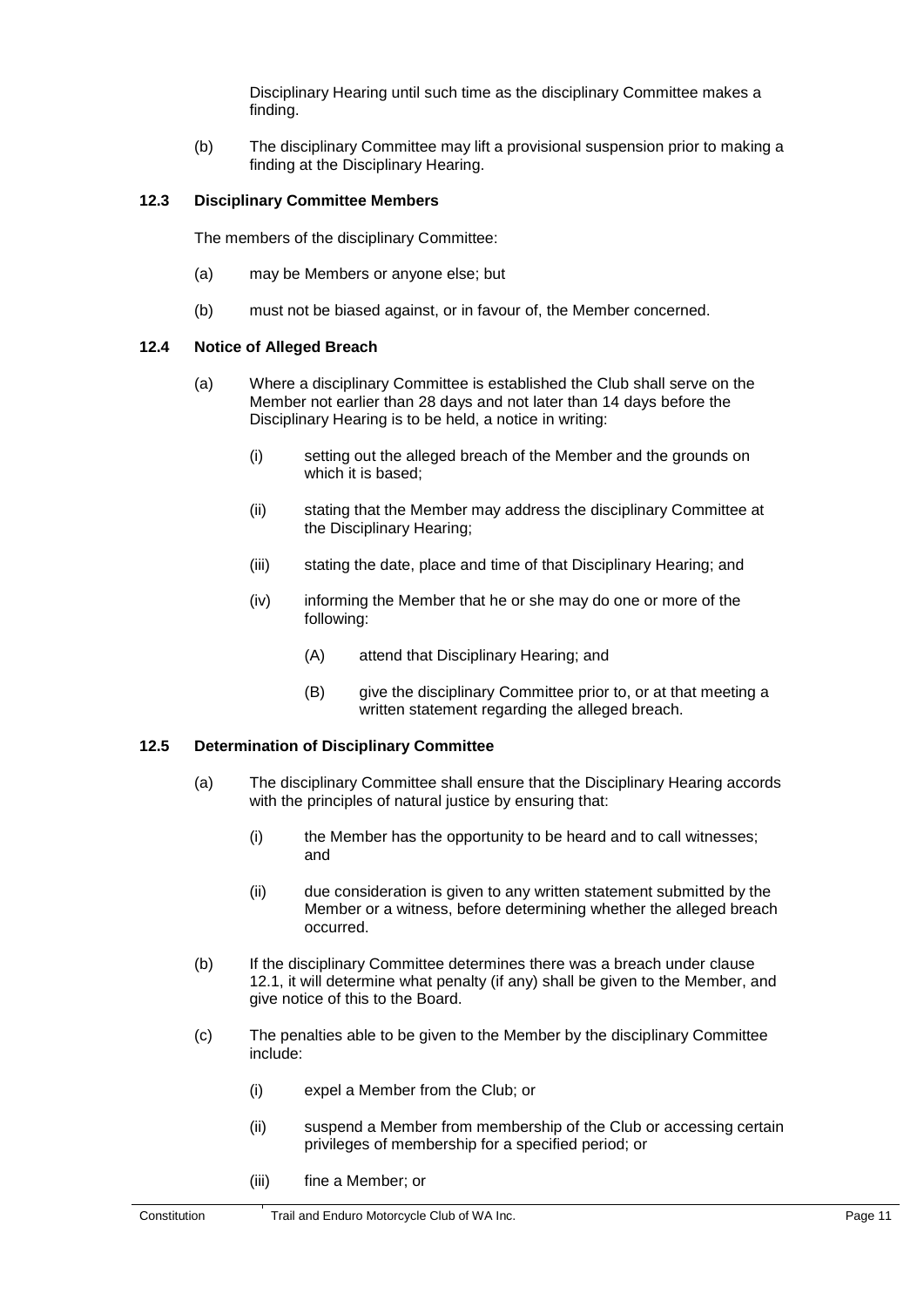Disciplinary Hearing until such time as the disciplinary Committee makes a finding.

<span id="page-15-0"></span>(b) The disciplinary Committee may lift a provisional suspension prior to making a finding at the Disciplinary Hearing.

#### **12.3 Disciplinary Committee Members**

The members of the disciplinary Committee:

- <span id="page-15-1"></span>(a) may be Members or anyone else; but
- (b) must not be biased against, or in favour of, the Member concerned.

#### **12.4 Notice of Alleged Breach**

- (a) Where a disciplinary Committee is established the Club shall serve on the Member not earlier than 28 days and not later than 14 days before the Disciplinary Hearing is to be held, a notice in writing:
	- (i) setting out the alleged breach of the Member and the grounds on which it is based;
	- (ii) stating that the Member may address the disciplinary Committee at the Disciplinary Hearing;
	- (iii) stating the date, place and time of that Disciplinary Hearing; and
	- (iv) informing the Member that he or she may do one or more of the following:
		- (A) attend that Disciplinary Hearing; and
		- (B) give the disciplinary Committee prior to, or at that meeting a written statement regarding the alleged breach.

## <span id="page-15-2"></span>**12.5 Determination of Disciplinary Committee**

- (a) The disciplinary Committee shall ensure that the Disciplinary Hearing accords with the principles of natural justice by ensuring that:
	- (i) the Member has the opportunity to be heard and to call witnesses; and
	- (ii) due consideration is given to any written statement submitted by the Member or a witness, before determining whether the alleged breach occurred.
- (b) If the disciplinary Committee determines there was a breach under clause [12.1,](#page-14-6) it will determine what penalty (if any) shall be given to the Member, and give notice of this to the Board.
- (c) The penalties able to be given to the Member by the disciplinary Committee include:
	- (i) expel a Member from the Club; or
	- (ii) suspend a Member from membership of the Club or accessing certain privileges of membership for a specified period; or
	- (iii) fine a Member; or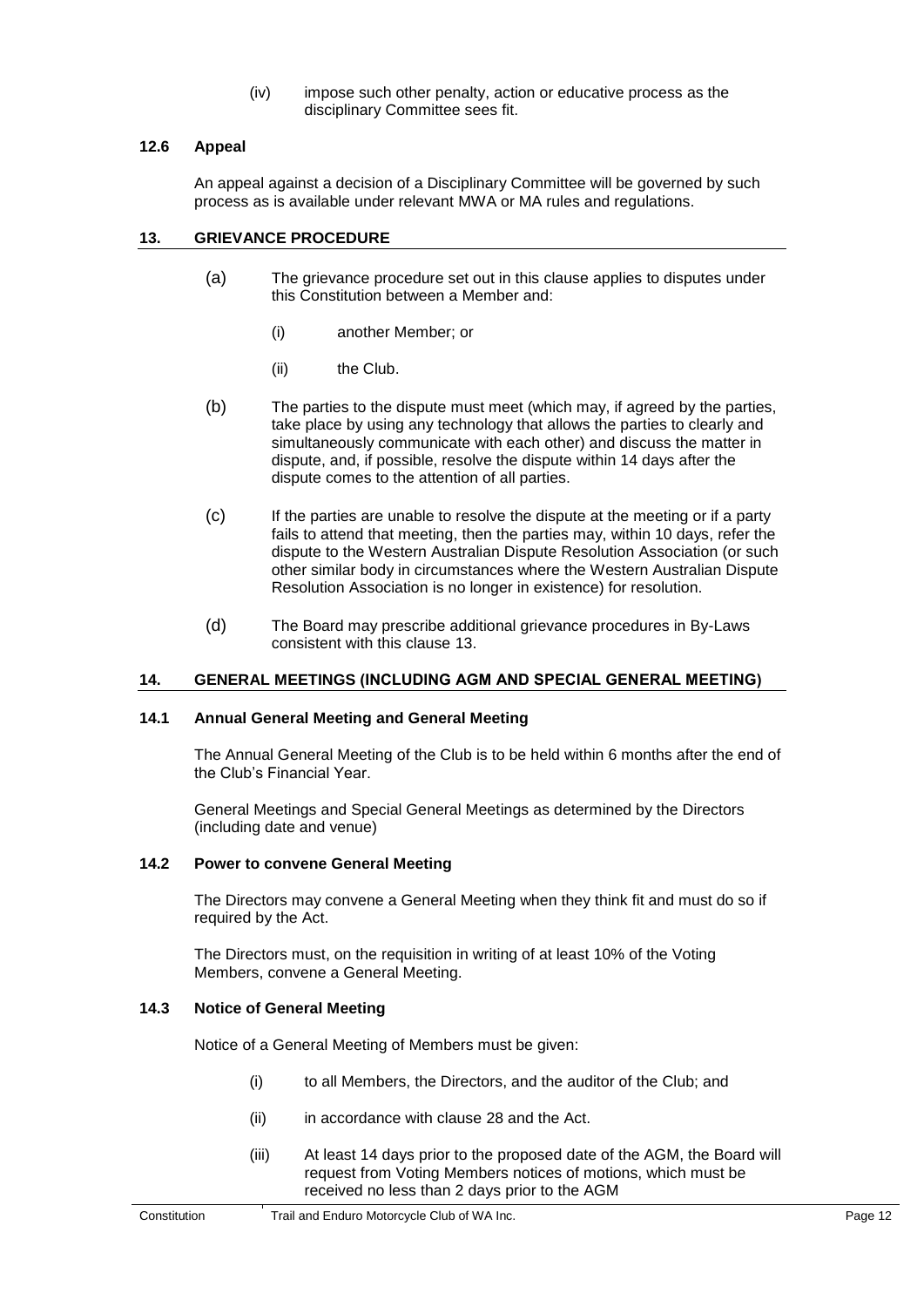(iv) impose such other penalty, action or educative process as the disciplinary Committee sees fit.

#### <span id="page-16-1"></span><span id="page-16-0"></span>**12.6 Appeal**

An appeal against a decision of a Disciplinary Committee will be governed by such process as is available under relevant MWA or MA rules and regulations.

#### <span id="page-16-6"></span>**13. GRIEVANCE PROCEDURE**

- (a) The grievance procedure set out in this clause applies to disputes under this Constitution between a Member and:
	- (i) another Member; or
	- (ii) the Club.
- (b) The parties to the dispute must meet (which may, if agreed by the parties, take place by using any technology that allows the parties to clearly and simultaneously communicate with each other) and discuss the matter in dispute, and, if possible, resolve the dispute within 14 days after the dispute comes to the attention of all parties.
- (c) If the parties are unable to resolve the dispute at the meeting or if a party fails to attend that meeting, then the parties may, within 10 days, refer the dispute to the Western Australian Dispute Resolution Association (or such other similar body in circumstances where the Western Australian Dispute Resolution Association is no longer in existence) for resolution.
- <span id="page-16-2"></span>(d) The Board may prescribe additional grievance procedures in By-Laws consistent with this clause [13.](#page-16-6)

#### <span id="page-16-3"></span>**14. GENERAL MEETINGS (INCLUDING AGM AND SPECIAL GENERAL MEETING)**

#### **14.1 Annual General Meeting and General Meeting**

The Annual General Meeting of the Club is to be held within 6 months after the end of the Club's Financial Year.

<span id="page-16-4"></span>General Meetings and Special General Meetings as determined by the Directors (including date and venue)

#### **14.2 Power to convene General Meeting**

The Directors may convene a General Meeting when they think fit and must do so if required by the Act.

<span id="page-16-5"></span>The Directors must, on the requisition in writing of at least 10% of the Voting Members, convene a General Meeting.

#### **14.3 Notice of General Meeting**

Notice of a General Meeting of Members must be given:

- (i) to all Members, the Directors, and the auditor of the Club; and
- (ii) in accordance with clause 28 and the Act.
- (iii) At least 14 days prior to the proposed date of the AGM, the Board will request from Voting Members notices of motions, which must be received no less than 2 days prior to the AGM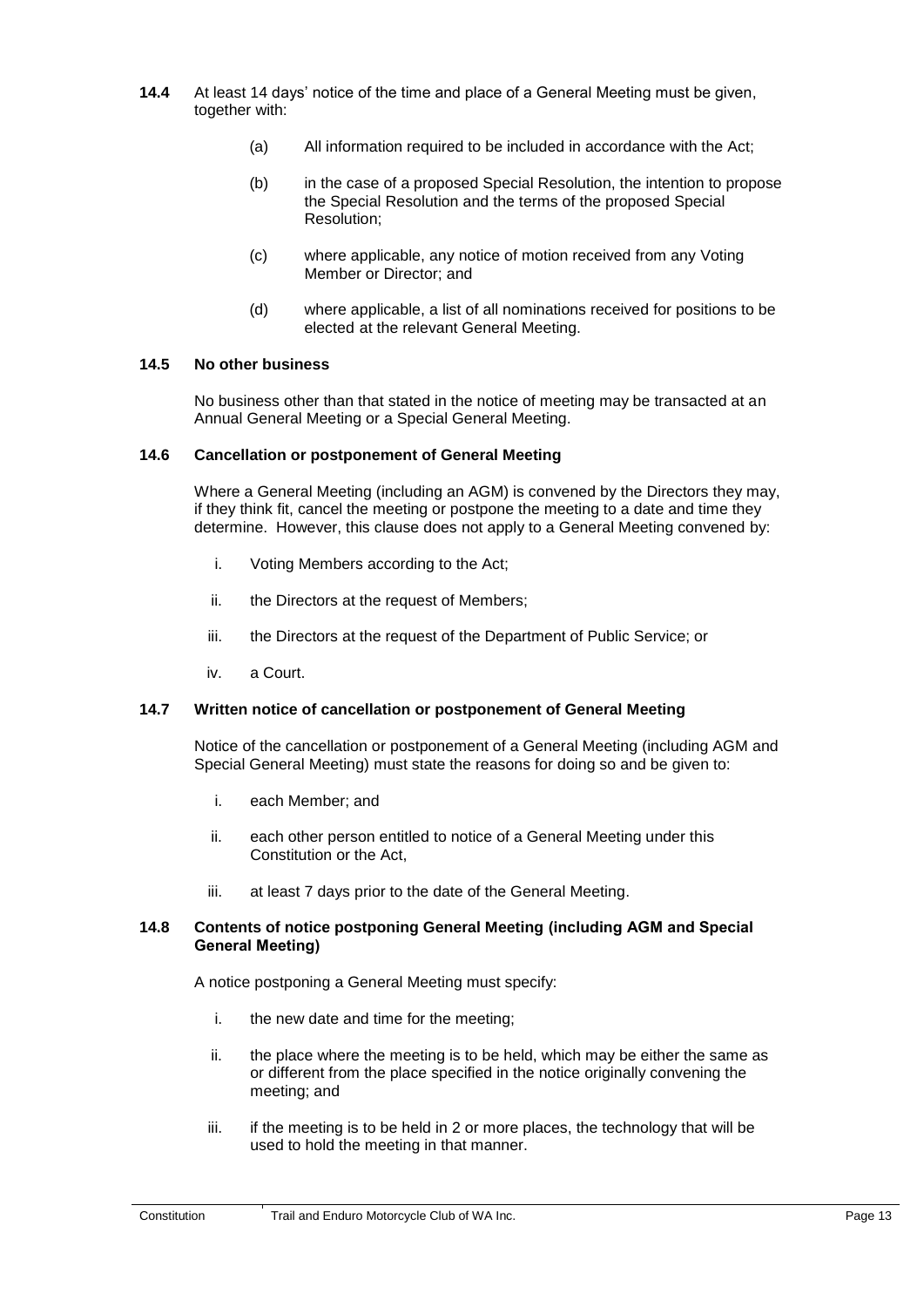- **14.4** At least 14 days' notice of the time and place of a General Meeting must be given, together with:
	- (a) All information required to be included in accordance with the Act;
	- (b) in the case of a proposed Special Resolution, the intention to propose the Special Resolution and the terms of the proposed Special Resolution;
	- (c) where applicable, any notice of motion received from any Voting Member or Director; and
	- (d) where applicable, a list of all nominations received for positions to be elected at the relevant General Meeting.

#### <span id="page-17-1"></span><span id="page-17-0"></span>**14.5 No other business**

No business other than that stated in the notice of meeting may be transacted at an Annual General Meeting or a Special General Meeting.

#### **14.6 Cancellation or postponement of General Meeting**

Where a General Meeting (including an AGM) is convened by the Directors they may, if they think fit, cancel the meeting or postpone the meeting to a date and time they determine. However, this clause does not apply to a General Meeting convened by:

- i. Voting Members according to the Act;
- ii. the Directors at the request of Members;
- <span id="page-17-2"></span>iii. the Directors at the request of the Department of Public Service; or
- iv. a Court.

#### **14.7 Written notice of cancellation or postponement of General Meeting**

Notice of the cancellation or postponement of a General Meeting (including AGM and Special General Meeting) must state the reasons for doing so and be given to:

- i. each Member; and
- <span id="page-17-3"></span>ii. each other person entitled to notice of a General Meeting under this Constitution or the Act,
- iii. at least 7 days prior to the date of the General Meeting.

#### **14.8 Contents of notice postponing General Meeting (including AGM and Special General Meeting)**

A notice postponing a General Meeting must specify:

- i. the new date and time for the meeting;
- ii. the place where the meeting is to be held, which may be either the same as or different from the place specified in the notice originally convening the meeting; and
- iii. if the meeting is to be held in 2 or more places, the technology that will be used to hold the meeting in that manner.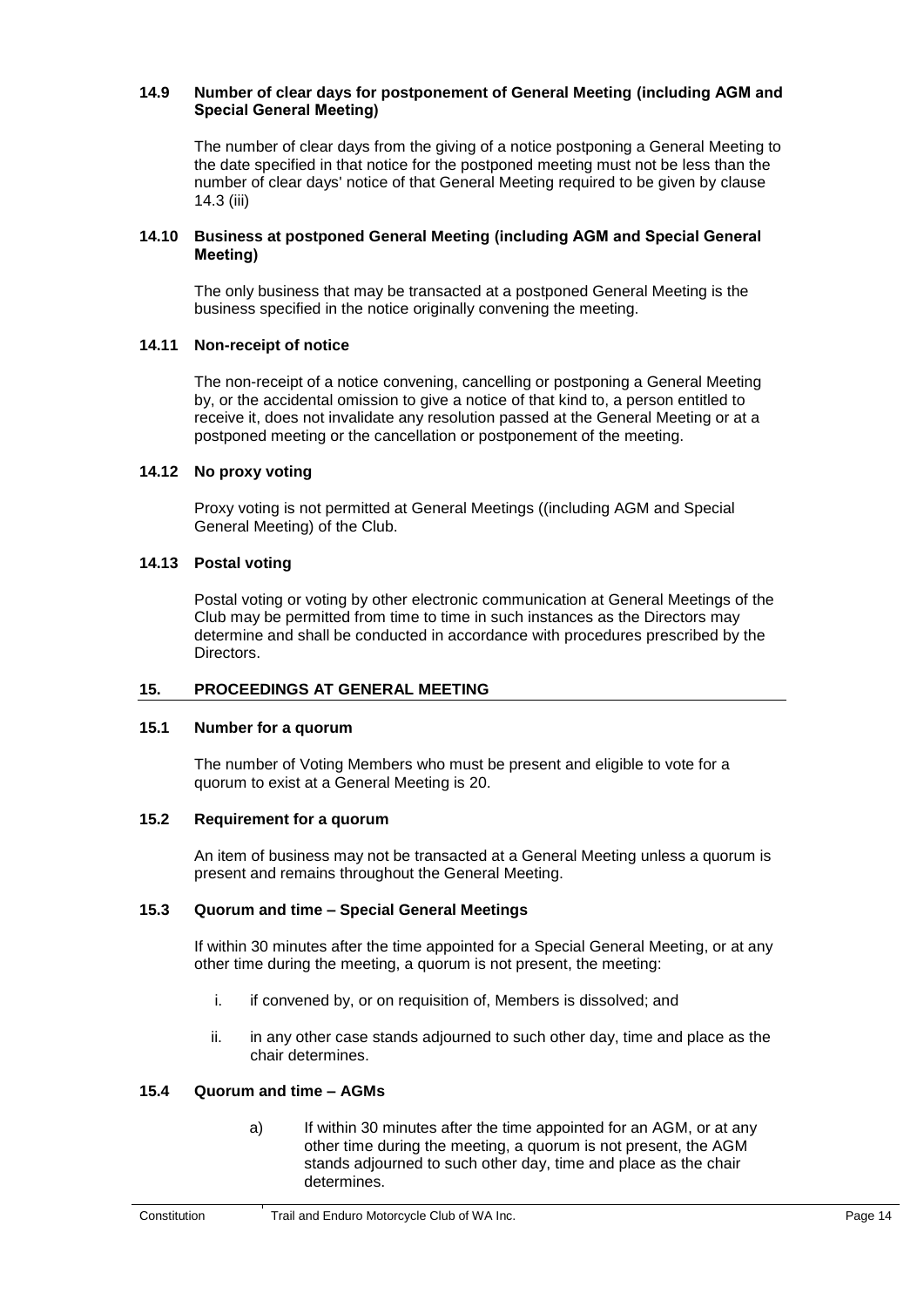#### <span id="page-18-0"></span>**14.9 Number of clear days for postponement of General Meeting (including AGM and Special General Meeting)**

<span id="page-18-1"></span>The number of clear days from the giving of a notice postponing a General Meeting to the date specified in that notice for the postponed meeting must not be less than the number of clear days' notice of that General Meeting required to be given by clause 14.3 (iii)

#### <span id="page-18-2"></span>**14.10 Business at postponed General Meeting (including AGM and Special General Meeting)**

The only business that may be transacted at a postponed General Meeting is the business specified in the notice originally convening the meeting.

## <span id="page-18-3"></span>**14.11 Non-receipt of notice**

The non-receipt of a notice convening, cancelling or postponing a General Meeting by, or the accidental omission to give a notice of that kind to, a person entitled to receive it, does not invalidate any resolution passed at the General Meeting or at a postponed meeting or the cancellation or postponement of the meeting.

## <span id="page-18-4"></span>**14.12 No proxy voting**

Proxy voting is not permitted at General Meetings ((including AGM and Special General Meeting) of the Club.

## <span id="page-18-5"></span>**14.13 Postal voting**

Postal voting or voting by other electronic communication at General Meetings of the Club may be permitted from time to time in such instances as the Directors may determine and shall be conducted in accordance with procedures prescribed by the Directors.

#### <span id="page-18-6"></span>**15. PROCEEDINGS AT GENERAL MEETING**

#### <span id="page-18-7"></span>**15.1 Number for a quorum**

The number of Voting Members who must be present and eligible to vote for a quorum to exist at a General Meeting is 20.

#### <span id="page-18-8"></span>**15.2 Requirement for a quorum**

An item of business may not be transacted at a General Meeting unless a quorum is present and remains throughout the General Meeting.

#### **15.3 Quorum and time – Special General Meetings**

If within 30 minutes after the time appointed for a Special General Meeting, or at any other time during the meeting, a quorum is not present, the meeting:

- i. if convened by, or on requisition of, Members is dissolved; and
- ii. in any other case stands adjourned to such other day, time and place as the chair determines.

## <span id="page-18-9"></span>**15.4 Quorum and time – AGMs**

a) If within 30 minutes after the time appointed for an AGM, or at any other time during the meeting, a quorum is not present, the AGM stands adjourned to such other day, time and place as the chair determines.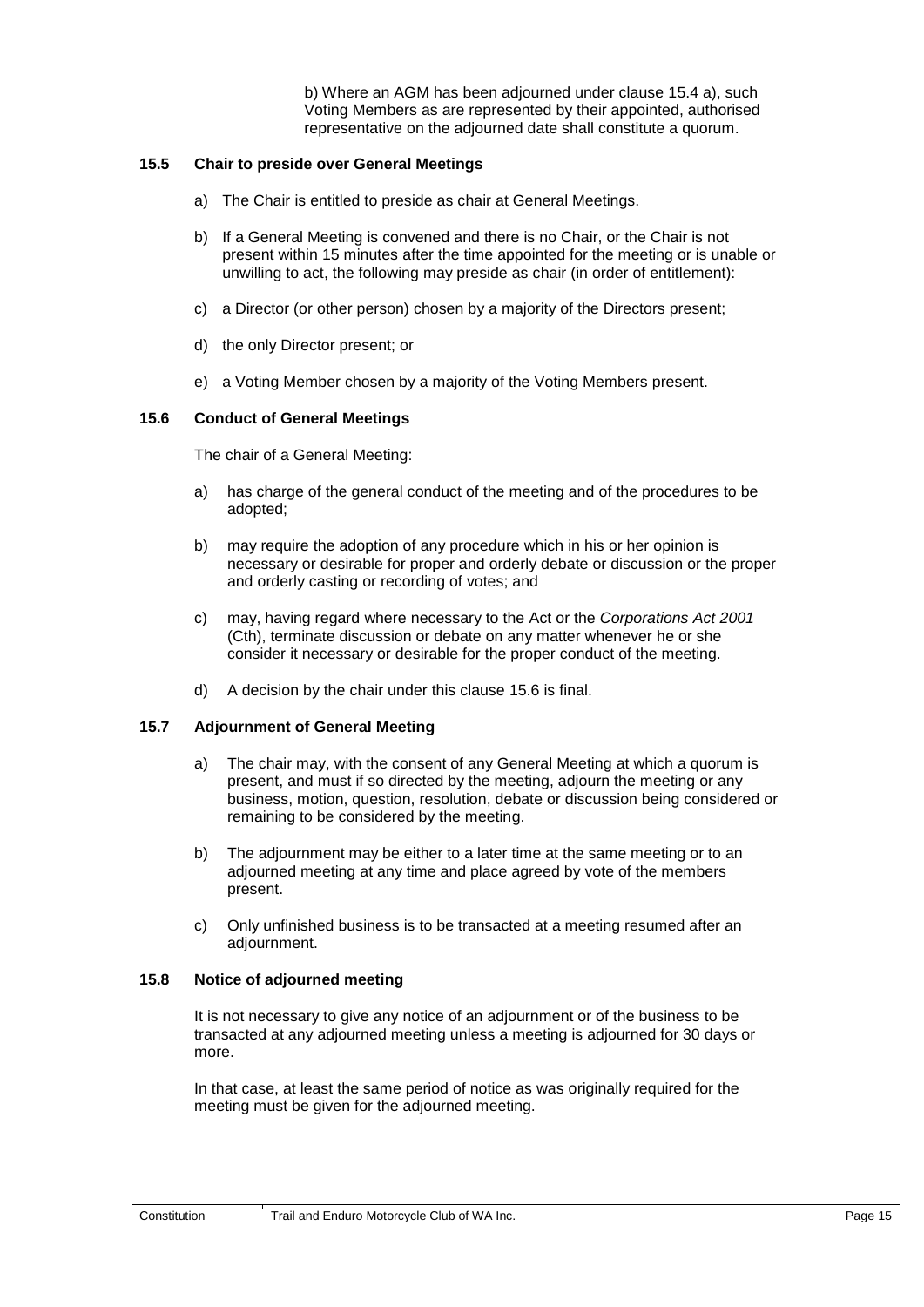b) Where an AGM has been adjourned under clause 15.4 a), such Voting Members as are represented by their appointed, authorised representative on the adjourned date shall constitute a quorum.

#### <span id="page-19-0"></span>**15.5 Chair to preside over General Meetings**

- a) The Chair is entitled to preside as chair at General Meetings.
- b) If a General Meeting is convened and there is no Chair, or the Chair is not present within 15 minutes after the time appointed for the meeting or is unable or unwilling to act, the following may preside as chair (in order of entitlement):
- c) a Director (or other person) chosen by a majority of the Directors present;
- <span id="page-19-1"></span>d) the only Director present; or
- e) a Voting Member chosen by a majority of the Voting Members present.

#### **15.6 Conduct of General Meetings**

The chair of a General Meeting:

- a) has charge of the general conduct of the meeting and of the procedures to be adopted;
- b) may require the adoption of any procedure which in his or her opinion is necessary or desirable for proper and orderly debate or discussion or the proper and orderly casting or recording of votes; and
- <span id="page-19-2"></span>c) may, having regard where necessary to the Act or the *Corporations Act 2001*  (Cth), terminate discussion or debate on any matter whenever he or she consider it necessary or desirable for the proper conduct of the meeting.
- d) A decision by the chair under this clause 15.6 is final.

#### **15.7 Adjournment of General Meeting**

- a) The chair may, with the consent of any General Meeting at which a quorum is present, and must if so directed by the meeting, adjourn the meeting or any business, motion, question, resolution, debate or discussion being considered or remaining to be considered by the meeting.
- b) The adjournment may be either to a later time at the same meeting or to an adjourned meeting at any time and place agreed by vote of the members present.
- <span id="page-19-3"></span>c) Only unfinished business is to be transacted at a meeting resumed after an adjournment.

#### **15.8 Notice of adjourned meeting**

It is not necessary to give any notice of an adjournment or of the business to be transacted at any adjourned meeting unless a meeting is adjourned for 30 days or more.

In that case, at least the same period of notice as was originally required for the meeting must be given for the adjourned meeting.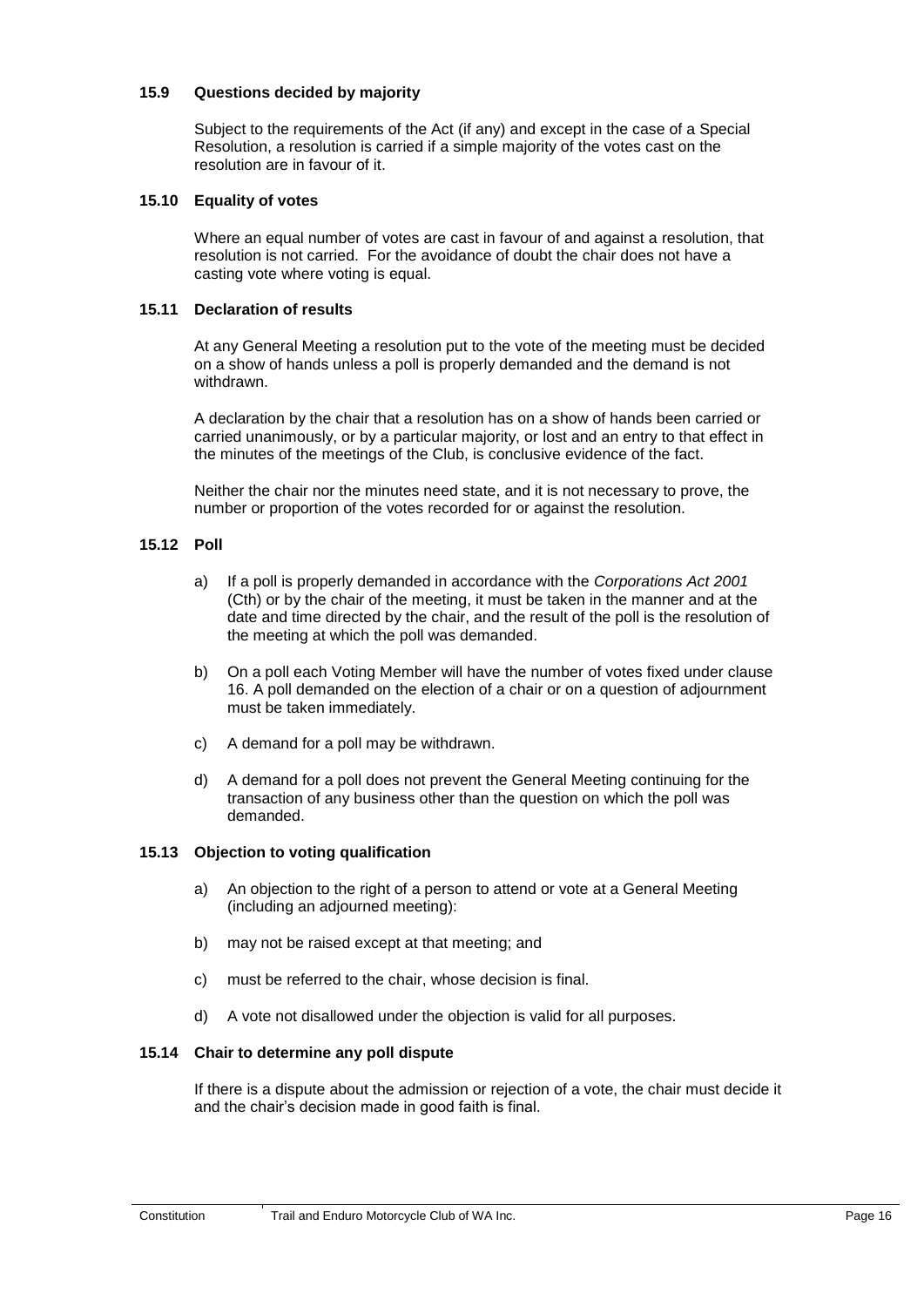#### <span id="page-20-1"></span><span id="page-20-0"></span>**15.9 Questions decided by majority**

Subject to the requirements of the Act (if any) and except in the case of a Special Resolution, a resolution is carried if a simple majority of the votes cast on the resolution are in favour of it.

#### <span id="page-20-2"></span>**15.10 Equality of votes**

Where an equal number of votes are cast in favour of and against a resolution, that resolution is not carried. For the avoidance of doubt the chair does not have a casting vote where voting is equal.

#### **15.11 Declaration of results**

At any General Meeting a resolution put to the vote of the meeting must be decided on a show of hands unless a poll is properly demanded and the demand is not withdrawn.

A declaration by the chair that a resolution has on a show of hands been carried or carried unanimously, or by a particular majority, or lost and an entry to that effect in the minutes of the meetings of the Club, is conclusive evidence of the fact.

<span id="page-20-3"></span>Neither the chair nor the minutes need state, and it is not necessary to prove, the number or proportion of the votes recorded for or against the resolution.

#### **15.12 Poll**

- a) If a poll is properly demanded in accordance with the *Corporations Act 2001*  (Cth) or by the chair of the meeting, it must be taken in the manner and at the date and time directed by the chair, and the result of the poll is the resolution of the meeting at which the poll was demanded.
- b) On a poll each Voting Member will have the number of votes fixed under clause [16.](#page-21-5) A poll demanded on the election of a chair or on a question of adjournment must be taken immediately.
- c) A demand for a poll may be withdrawn.
- <span id="page-20-4"></span>d) A demand for a poll does not prevent the General Meeting continuing for the transaction of any business other than the question on which the poll was demanded.

#### **15.13 Objection to voting qualification**

- a) An objection to the right of a person to attend or vote at a General Meeting (including an adjourned meeting):
- b) may not be raised except at that meeting; and
- <span id="page-20-5"></span>c) must be referred to the chair, whose decision is final.
- d) A vote not disallowed under the objection is valid for all purposes.

#### **15.14 Chair to determine any poll dispute**

If there is a dispute about the admission or rejection of a vote, the chair must decide it and the chair's decision made in good faith is final.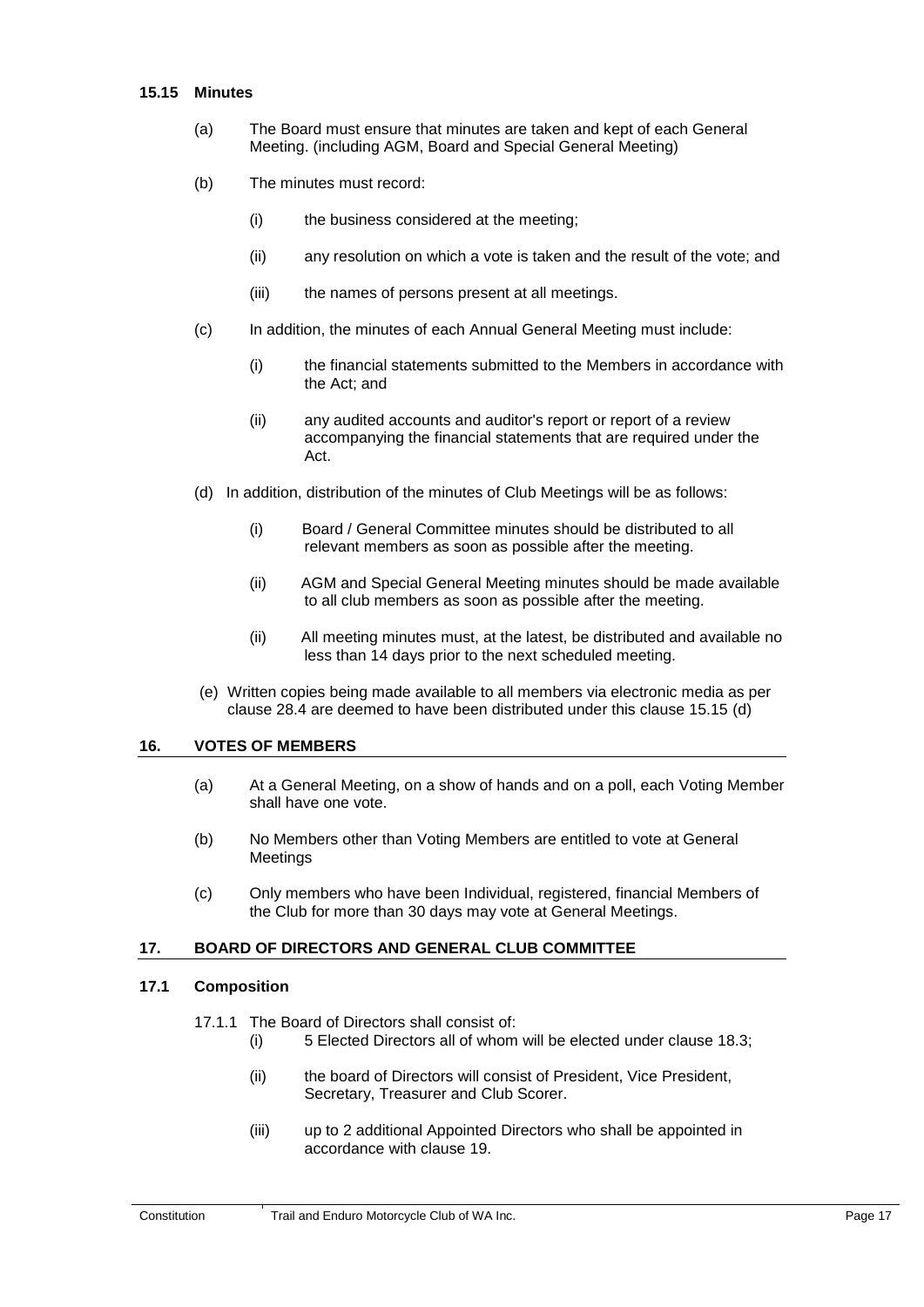#### <span id="page-21-0"></span>**15.15 Minutes**

- (a) The Board must ensure that minutes are taken and kept of each General Meeting. (including AGM, Board and Special General Meeting)
- (b) The minutes must record:
	- (i) the business considered at the meeting;
	- (ii) any resolution on which a vote is taken and the result of the vote; and
	- (iii) the names of persons present at all meetings.
- (c) In addition, the minutes of each Annual General Meeting must include:
	- (i) the financial statements submitted to the Members in accordance with the Act; and
	- (ii) any audited accounts and auditor's report or report of a review accompanying the financial statements that are required under the Act.
- (d) In addition, distribution of the minutes of Club Meetings will be as follows:
	- (i) Board / General Committee minutes should be distributed to all relevant members as soon as possible after the meeting.
	- (ii) AGM and Special General Meeting minutes should be made available to all club members as soon as possible after the meeting.
	- (ii) All meeting minutes must, at the latest, be distributed and available no less than 14 days prior to the next scheduled meeting.
- <span id="page-21-1"></span>(e) Written copies being made available to all members via electronic media as per clause 28.4 are deemed to have been distributed under this clause 15.15 (d)

#### <span id="page-21-5"></span>**16. VOTES OF MEMBERS**

- (a) At a General Meeting, on a show of hands and on a poll, each Voting Member shall have one vote.
- (b) No Members other than Voting Members are entitled to vote at General Meetings
- <span id="page-21-2"></span>(c) Only members who have been Individual, registered, financial Members of the Club for more than 30 days may vote at General Meetings.

#### <span id="page-21-3"></span>**17. BOARD OF DIRECTORS AND GENERAL CLUB COMMITTEE**

#### <span id="page-21-4"></span>**17.1 Composition**

#### 17.1.1 The Board of Directors shall consist of:

- (i) 5 Elected Directors all of whom will be elected under clause [18.3;](#page-23-8)
- (ii) the board of Directors will consist of President, Vice President, Secretary, Treasurer and Club Scorer.
- (iii) up to 2 additional Appointed Directors who shall be appointed in accordance with clause [19.](#page-23-7)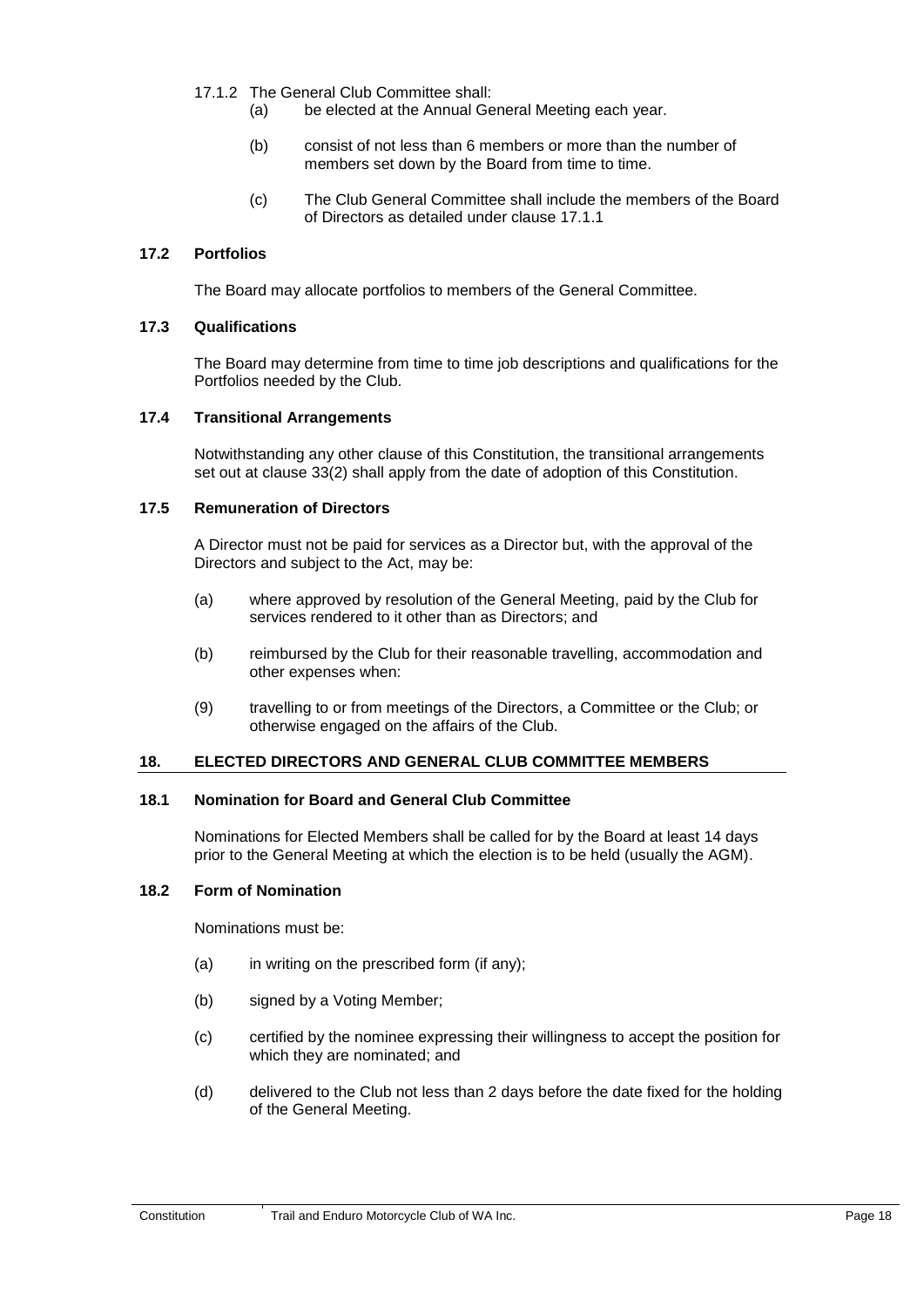- 17.1.2 The General Club Committee shall:
	- (a) be elected at the Annual General Meeting each year.
	- (b) consist of not less than 6 members or more than the number of members set down by the Board from time to time.
	- (c) The Club General Committee shall include the members of the Board of Directors as detailed under clause 17.1.1

## <span id="page-22-1"></span><span id="page-22-0"></span>**17.2 Portfolios**

The Board may allocate portfolios to members of the General Committee.

#### <span id="page-22-2"></span>**17.3 Qualifications**

The Board may determine from time to time job descriptions and qualifications for the Portfolios needed by the Club.

#### <span id="page-22-3"></span>**17.4 Transitional Arrangements**

Notwithstanding any other clause of this Constitution, the transitional arrangements set out at clause 33(2) shall apply from the date of adoption of this Constitution.

#### **17.5 Remuneration of Directors**

A Director must not be paid for services as a Director but, with the approval of the Directors and subject to the Act, may be:

- (a) where approved by resolution of the General Meeting, paid by the Club for services rendered to it other than as Directors; and
- (b) reimbursed by the Club for their reasonable travelling, accommodation and other expenses when:
- <span id="page-22-4"></span>(9) travelling to or from meetings of the Directors, a Committee or the Club; or otherwise engaged on the affairs of the Club.

#### <span id="page-22-7"></span><span id="page-22-5"></span>**18. ELECTED DIRECTORS AND GENERAL CLUB COMMITTEE MEMBERS**

## <span id="page-22-6"></span>**18.1 Nomination for Board and General Club Committee**

Nominations for Elected Members shall be called for by the Board at least 14 days prior to the General Meeting at which the election is to be held (usually the AGM).

## **18.2 Form of Nomination**

Nominations must be:

- (a) in writing on the prescribed form (if any);
- (b) signed by a Voting Member;
- (c) certified by the nominee expressing their willingness to accept the position for which they are nominated; and
- (d) delivered to the Club not less than 2 days before the date fixed for the holding of the General Meeting.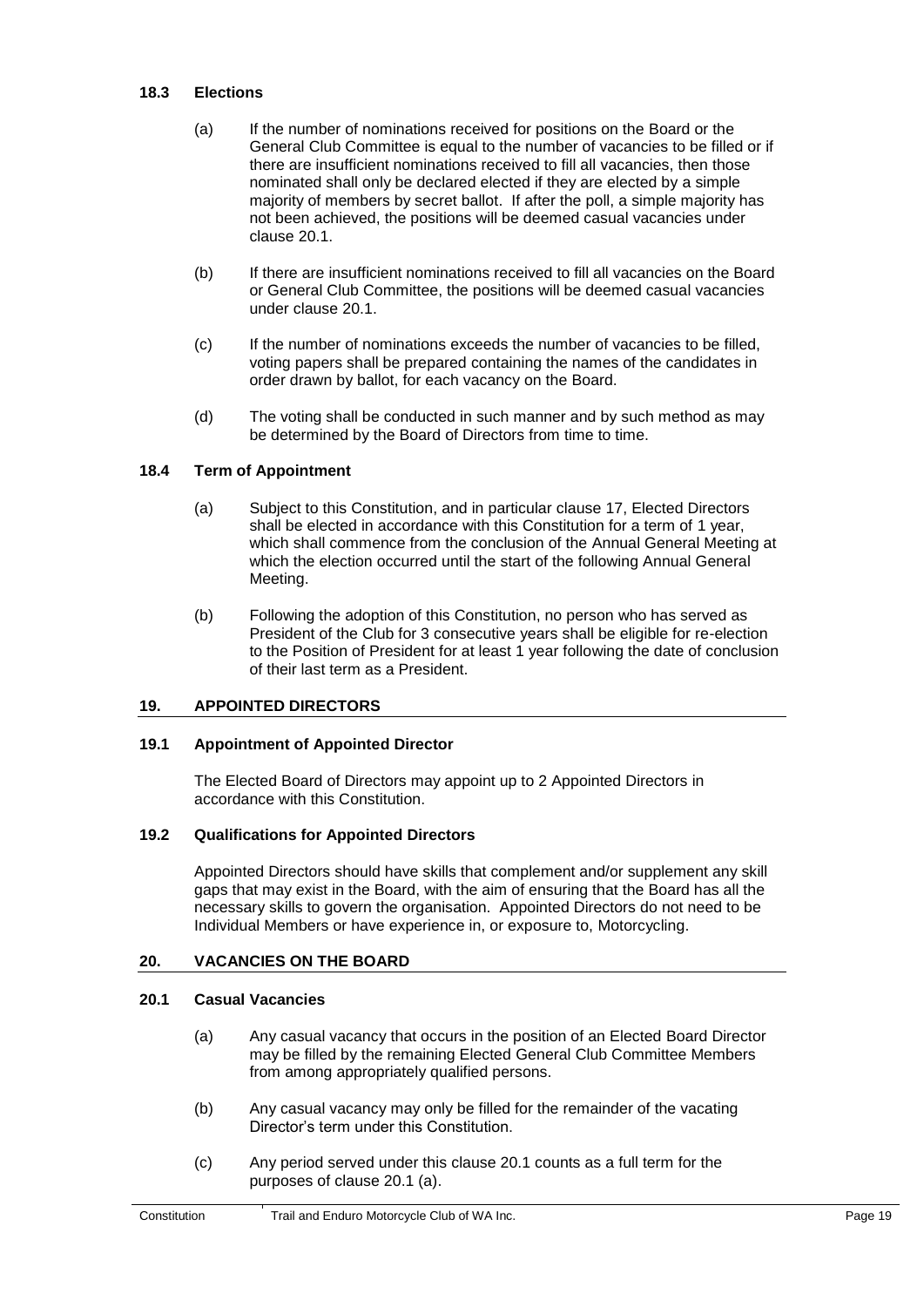#### <span id="page-23-8"></span><span id="page-23-0"></span>**18.3 Elections**

- (a) If the number of nominations received for positions on the Board or the General Club Committee is equal to the number of vacancies to be filled or if there are insufficient nominations received to fill all vacancies, then those nominated shall only be declared elected if they are elected by a simple majority of members by secret ballot. If after the poll, a simple majority has not been achieved, the positions will be deemed casual vacancies under clause [20.1.](#page-23-9)
- (b) If there are insufficient nominations received to fill all vacancies on the Board or General Club Committee, the positions will be deemed casual vacancies under clause [20.1.](#page-23-9)
- (c) If the number of nominations exceeds the number of vacancies to be filled, voting papers shall be prepared containing the names of the candidates in order drawn by ballot, for each vacancy on the Board.
- <span id="page-23-1"></span>(d) The voting shall be conducted in such manner and by such method as may be determined by the Board of Directors from time to time.

#### <span id="page-23-10"></span>**18.4 Term of Appointment**

- (a) Subject to this Constitution, and in particular clause 17, Elected Directors shall be elected in accordance with this Constitution for a term of 1 year, which shall commence from the conclusion of the Annual General Meeting at which the election occurred until the start of the following Annual General Meeting.
- <span id="page-23-2"></span>(b) Following the adoption of this Constitution, no person who has served as President of the Club for 3 consecutive years shall be eligible for re-election to the Position of President for at least 1 year following the date of conclusion of their last term as a President.

#### <span id="page-23-7"></span><span id="page-23-3"></span>**19. APPOINTED DIRECTORS**

#### <span id="page-23-4"></span>**19.1 Appointment of Appointed Director**

The Elected Board of Directors may appoint up to 2 Appointed Directors in accordance with this Constitution.

## <span id="page-23-5"></span>**19.2 Qualifications for Appointed Directors**

Appointed Directors should have skills that complement and/or supplement any skill gaps that may exist in the Board, with the aim of ensuring that the Board has all the necessary skills to govern the organisation. Appointed Directors do not need to be Individual Members or have experience in, or exposure to, Motorcycling.

#### <span id="page-23-6"></span>**20. VACANCIES ON THE BOARD**

#### <span id="page-23-9"></span>**20.1 Casual Vacancies**

- (a) Any casual vacancy that occurs in the position of an Elected Board Director may be filled by the remaining Elected General Club Committee Members from among appropriately qualified persons.
- (b) Any casual vacancy may only be filled for the remainder of the vacating Director's term under this Constitution.
- (c) Any period served under this clause [20.1](#page-23-9) counts as a full term for the purposes of clause 20.1 (a).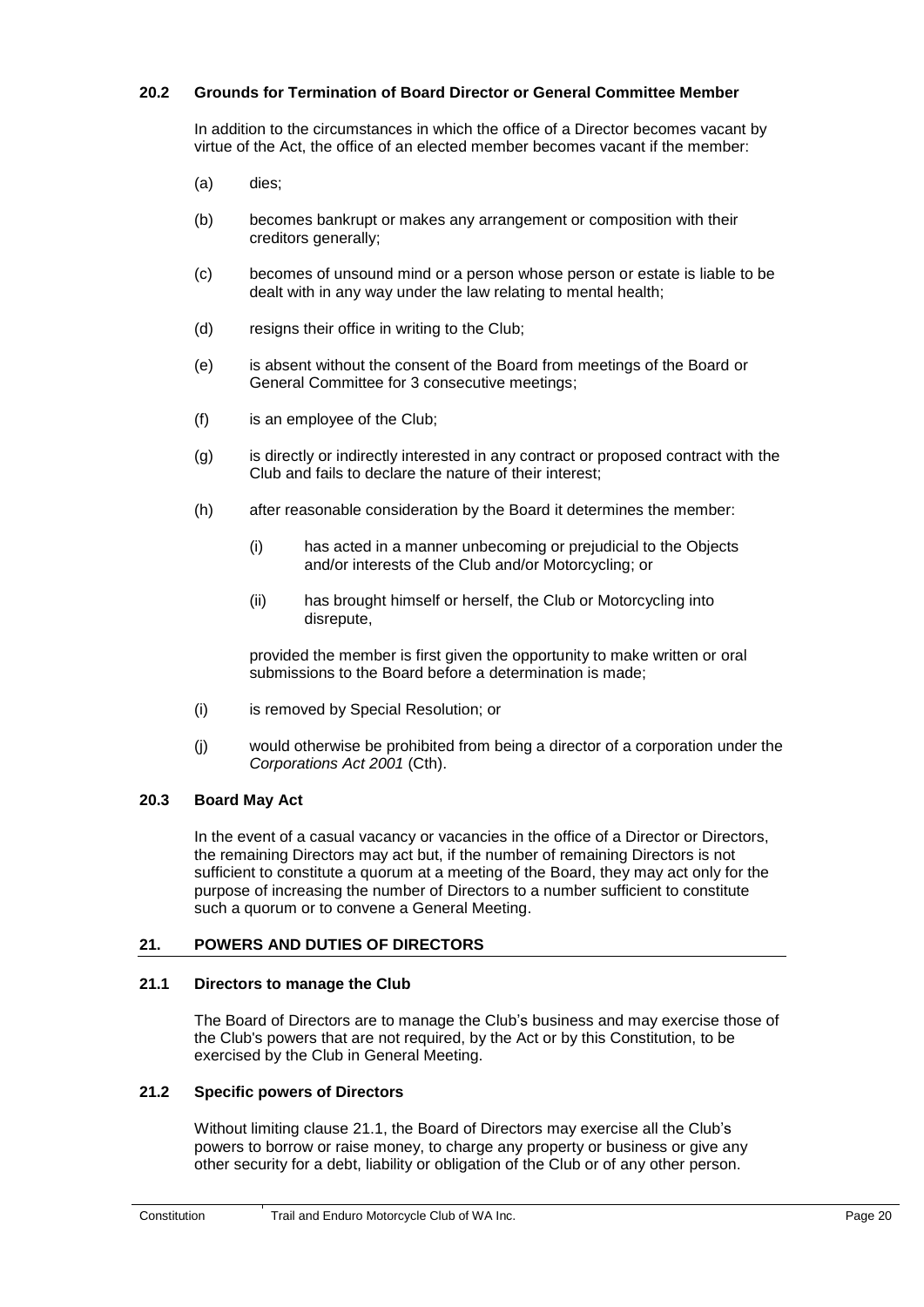## <span id="page-24-0"></span>**20.2 Grounds for Termination of Board Director or General Committee Member**

In addition to the circumstances in which the office of a Director becomes vacant by virtue of the Act, the office of an elected member becomes vacant if the member:

- (a) dies;
- (b) becomes bankrupt or makes any arrangement or composition with their creditors generally;
- (c) becomes of unsound mind or a person whose person or estate is liable to be dealt with in any way under the law relating to mental health;
- (d) resigns their office in writing to the Club;
- (e) is absent without the consent of the Board from meetings of the Board or General Committee for 3 consecutive meetings;
- (f) is an employee of the Club;
- (g) is directly or indirectly interested in any contract or proposed contract with the Club and fails to declare the nature of their interest;
- (h) after reasonable consideration by the Board it determines the member:
	- (i) has acted in a manner unbecoming or prejudicial to the Objects and/or interests of the Club and/or Motorcycling; or
	- (ii) has brought himself or herself, the Club or Motorcycling into disrepute,

provided the member is first given the opportunity to make written or oral submissions to the Board before a determination is made;

- <span id="page-24-1"></span>(i) is removed by Special Resolution; or
- (j) would otherwise be prohibited from being a director of a corporation under the *Corporations Act 2001* (Cth).

## **20.3 Board May Act**

<span id="page-24-2"></span>In the event of a casual vacancy or vacancies in the office of a Director or Directors, the remaining Directors may act but, if the number of remaining Directors is not sufficient to constitute a quorum at a meeting of the Board, they may act only for the purpose of increasing the number of Directors to a number sufficient to constitute such a quorum or to convene a General Meeting.

## <span id="page-24-3"></span>**21. POWERS AND DUTIES OF DIRECTORS**

#### <span id="page-24-4"></span>**21.1 Directors to manage the Club**

The Board of Directors are to manage the Club's business and may exercise those of the Club's powers that are not required, by the Act or by this Constitution, to be exercised by the Club in General Meeting.

## **21.2 Specific powers of Directors**

Without limiting clause 21.1, the Board of Directors may exercise all the Club's powers to borrow or raise money, to charge any property or business or give any other security for a debt, liability or obligation of the Club or of any other person.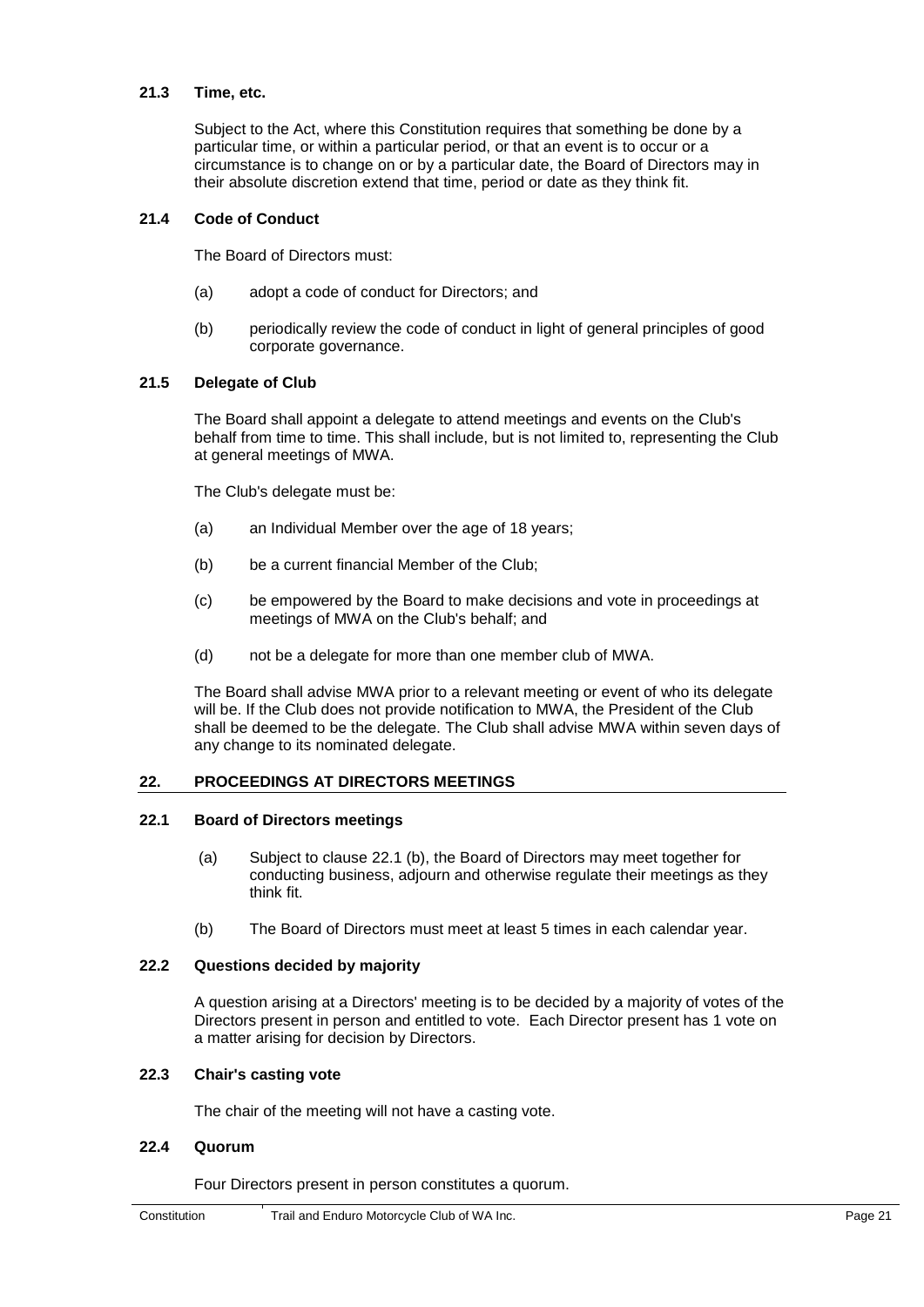## <span id="page-25-1"></span><span id="page-25-0"></span>**21.3 Time, etc.**

Subject to the Act, where this Constitution requires that something be done by a particular time, or within a particular period, or that an event is to occur or a circumstance is to change on or by a particular date, the Board of Directors may in their absolute discretion extend that time, period or date as they think fit.

## **21.4 Code of Conduct**

The Board of Directors must:

- <span id="page-25-2"></span>(a) adopt a code of conduct for Directors; and
- (b) periodically review the code of conduct in light of general principles of good corporate governance.

## **21.5 Delegate of Club**

The Board shall appoint a delegate to attend meetings and events on the Club's behalf from time to time. This shall include, but is not limited to, representing the Club at general meetings of MWA.

The Club's delegate must be:

- (a) an Individual Member over the age of 18 years;
- (b) be a current financial Member of the Club;
- (c) be empowered by the Board to make decisions and vote in proceedings at meetings of MWA on the Club's behalf; and
- (d) not be a delegate for more than one member club of MWA.

<span id="page-25-3"></span>The Board shall advise MWA prior to a relevant meeting or event of who its delegate will be. If the Club does not provide notification to MWA, the President of the Club shall be deemed to be the delegate. The Club shall advise MWA within seven days of any change to its nominated delegate.

## <span id="page-25-4"></span>**22. PROCEEDINGS AT DIRECTORS MEETINGS**

#### <span id="page-25-5"></span>**22.1 Board of Directors meetings**

- (a) Subject to clause 22.1 (b), the Board of Directors may meet together for conducting business, adjourn and otherwise regulate their meetings as they think fit.
- (b) The Board of Directors must meet at least 5 times in each calendar year.

## <span id="page-25-6"></span>**22.2 Questions decided by majority**

A question arising at a Directors' meeting is to be decided by a majority of votes of the Directors present in person and entitled to vote. Each Director present has 1 vote on a matter arising for decision by Directors.

## <span id="page-25-7"></span>**22.3 Chair's casting vote**

The chair of the meeting will not have a casting vote.

## **22.4 Quorum**

Four Directors present in person constitutes a quorum.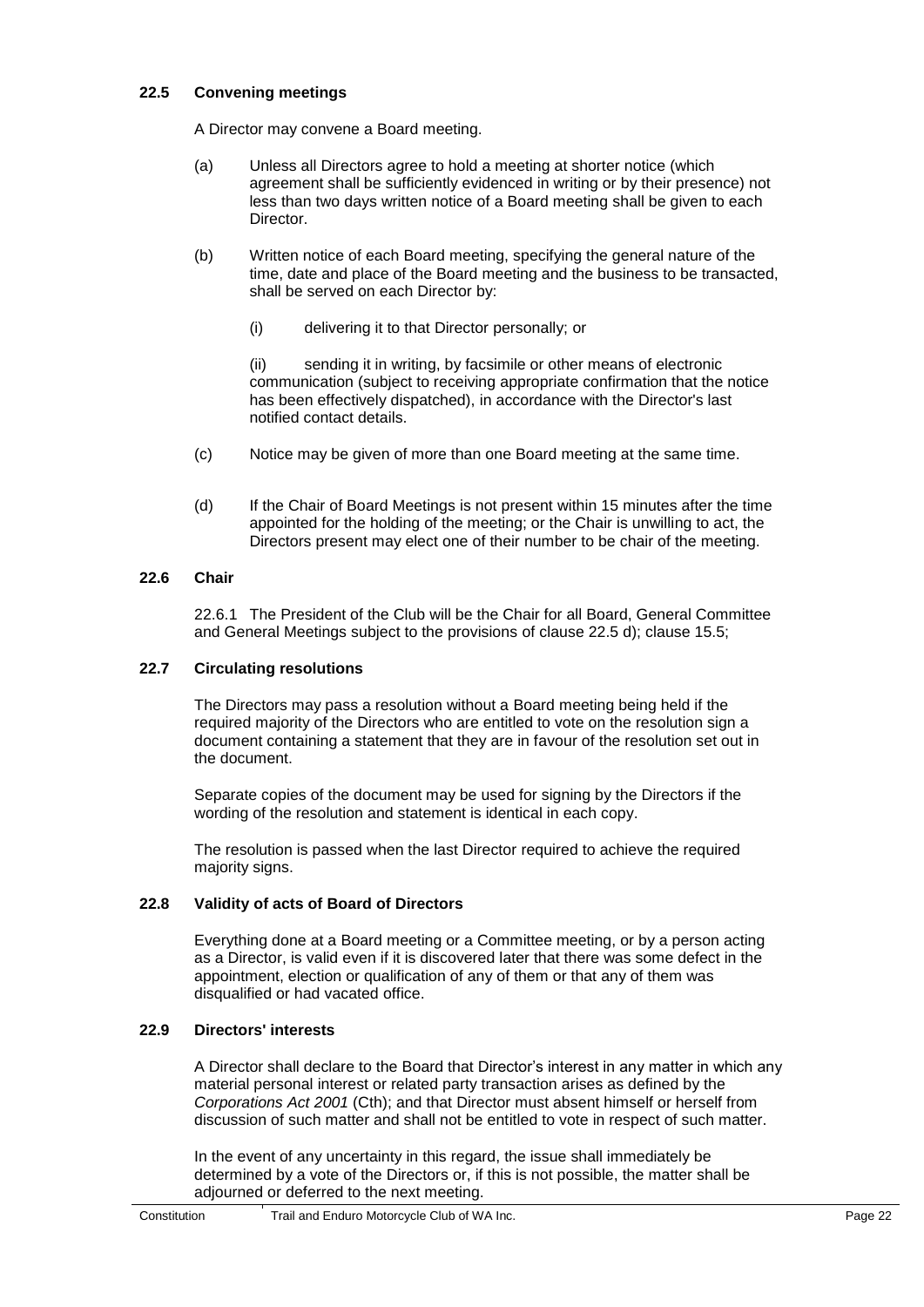## <span id="page-26-0"></span>**22.5 Convening meetings**

A Director may convene a Board meeting.

- (a) Unless all Directors agree to hold a meeting at shorter notice (which agreement shall be sufficiently evidenced in writing or by their presence) not less than two days written notice of a Board meeting shall be given to each **Director**
- (b) Written notice of each Board meeting, specifying the general nature of the time, date and place of the Board meeting and the business to be transacted, shall be served on each Director by:
	- (i) delivering it to that Director personally; or

(ii) sending it in writing, by facsimile or other means of electronic communication (subject to receiving appropriate confirmation that the notice has been effectively dispatched), in accordance with the Director's last notified contact details.

- (c) Notice may be given of more than one Board meeting at the same time.
- <span id="page-26-1"></span>(d) If the Chair of Board Meetings is not present within 15 minutes after the time appointed for the holding of the meeting; or the Chair is unwilling to act, the Directors present may elect one of their number to be chair of the meeting.

## <span id="page-26-2"></span>**22.6 Chair**

22.6.1 The President of the Club will be the Chair for all Board, General Committee and General Meetings subject to the provisions of clause 22.5 d); clause 15.5;

## **22.7 Circulating resolutions**

The Directors may pass a resolution without a Board meeting being held if the required majority of the Directors who are entitled to vote on the resolution sign a document containing a statement that they are in favour of the resolution set out in the document.

Separate copies of the document may be used for signing by the Directors if the wording of the resolution and statement is identical in each copy.

<span id="page-26-3"></span>The resolution is passed when the last Director required to achieve the required majority signs.

## <span id="page-26-4"></span>**22.8 Validity of acts of Board of Directors**

Everything done at a Board meeting or a Committee meeting, or by a person acting as a Director, is valid even if it is discovered later that there was some defect in the appointment, election or qualification of any of them or that any of them was disqualified or had vacated office.

## **22.9 Directors' interests**

A Director shall declare to the Board that Director's interest in any matter in which any material personal interest or related party transaction arises as defined by the *Corporations Act 2001* (Cth); and that Director must absent himself or herself from discussion of such matter and shall not be entitled to vote in respect of such matter.

In the event of any uncertainty in this regard, the issue shall immediately be determined by a vote of the Directors or, if this is not possible, the matter shall be adjourned or deferred to the next meeting.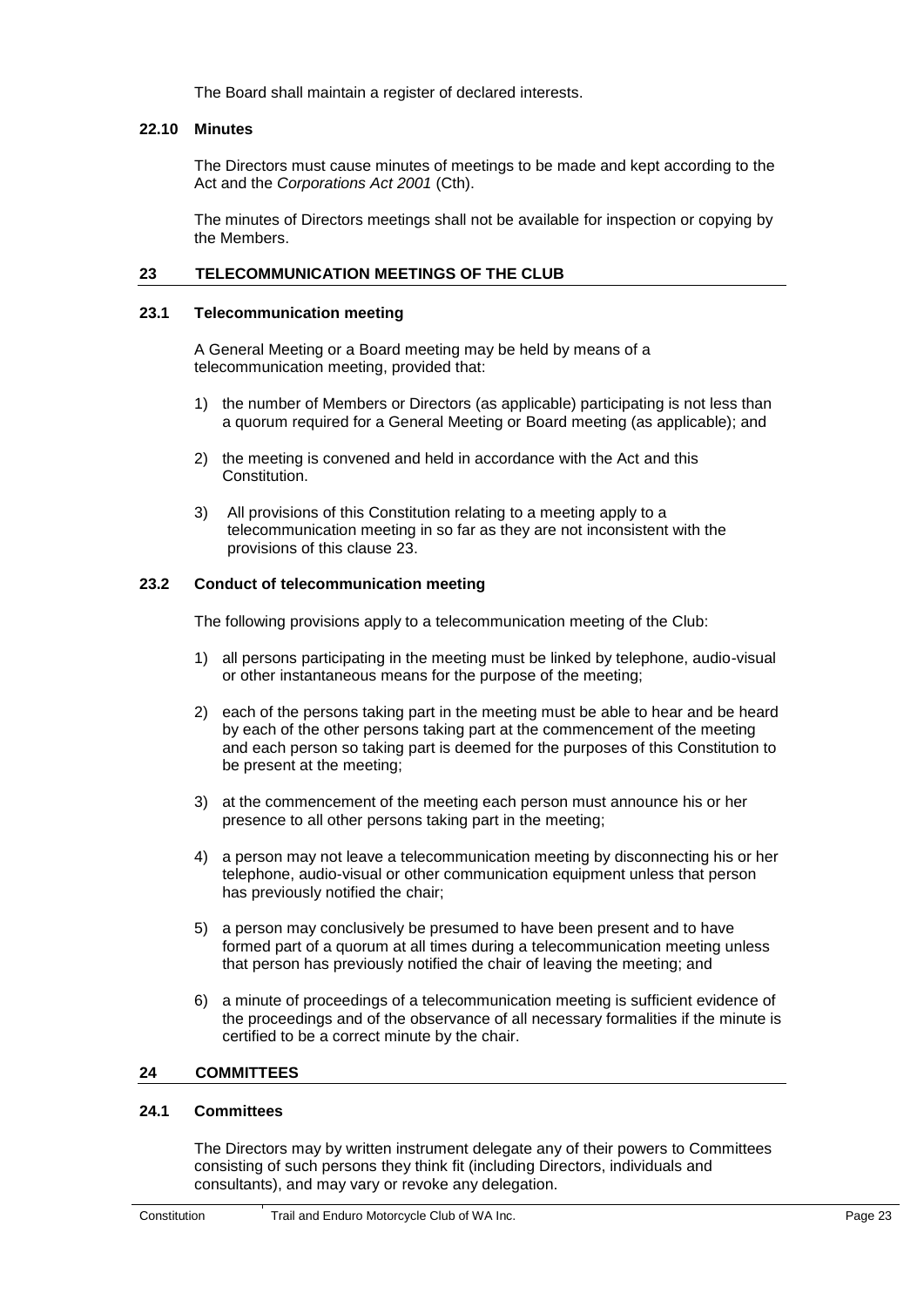<span id="page-27-0"></span>The Board shall maintain a register of declared interests.

#### **22.10 Minutes**

The Directors must cause minutes of meetings to be made and kept according to the Act and the *Corporations Act 2001* (Cth).

<span id="page-27-1"></span>The minutes of Directors meetings shall not be available for inspection or copying by the Members.

#### <span id="page-27-2"></span>**23 TELECOMMUNICATION MEETINGS OF THE CLUB**

#### **23.1 Telecommunication meeting**

A General Meeting or a Board meeting may be held by means of a telecommunication meeting, provided that:

- 1) the number of Members or Directors (as applicable) participating is not less than a quorum required for a General Meeting or Board meeting (as applicable); and
- 2) the meeting is convened and held in accordance with the Act and this Constitution.
- <span id="page-27-3"></span>3) All provisions of this Constitution relating to a meeting apply to a telecommunication meeting in so far as they are not inconsistent with the provisions of this clause 23.

## **23.2 Conduct of telecommunication meeting**

The following provisions apply to a telecommunication meeting of the Club:

- 1) all persons participating in the meeting must be linked by telephone, audio-visual or other instantaneous means for the purpose of the meeting;
- 2) each of the persons taking part in the meeting must be able to hear and be heard by each of the other persons taking part at the commencement of the meeting and each person so taking part is deemed for the purposes of this Constitution to be present at the meeting;
- 3) at the commencement of the meeting each person must announce his or her presence to all other persons taking part in the meeting;
- 4) a person may not leave a telecommunication meeting by disconnecting his or her telephone, audio-visual or other communication equipment unless that person has previously notified the chair;
- 5) a person may conclusively be presumed to have been present and to have formed part of a quorum at all times during a telecommunication meeting unless that person has previously notified the chair of leaving the meeting; and
- <span id="page-27-4"></span>6) a minute of proceedings of a telecommunication meeting is sufficient evidence of the proceedings and of the observance of all necessary formalities if the minute is certified to be a correct minute by the chair.

#### <span id="page-27-6"></span><span id="page-27-5"></span>**24 COMMITTEES**

#### **24.1 Committees**

The Directors may by written instrument delegate any of their powers to Committees consisting of such persons they think fit (including Directors, individuals and consultants), and may vary or revoke any delegation.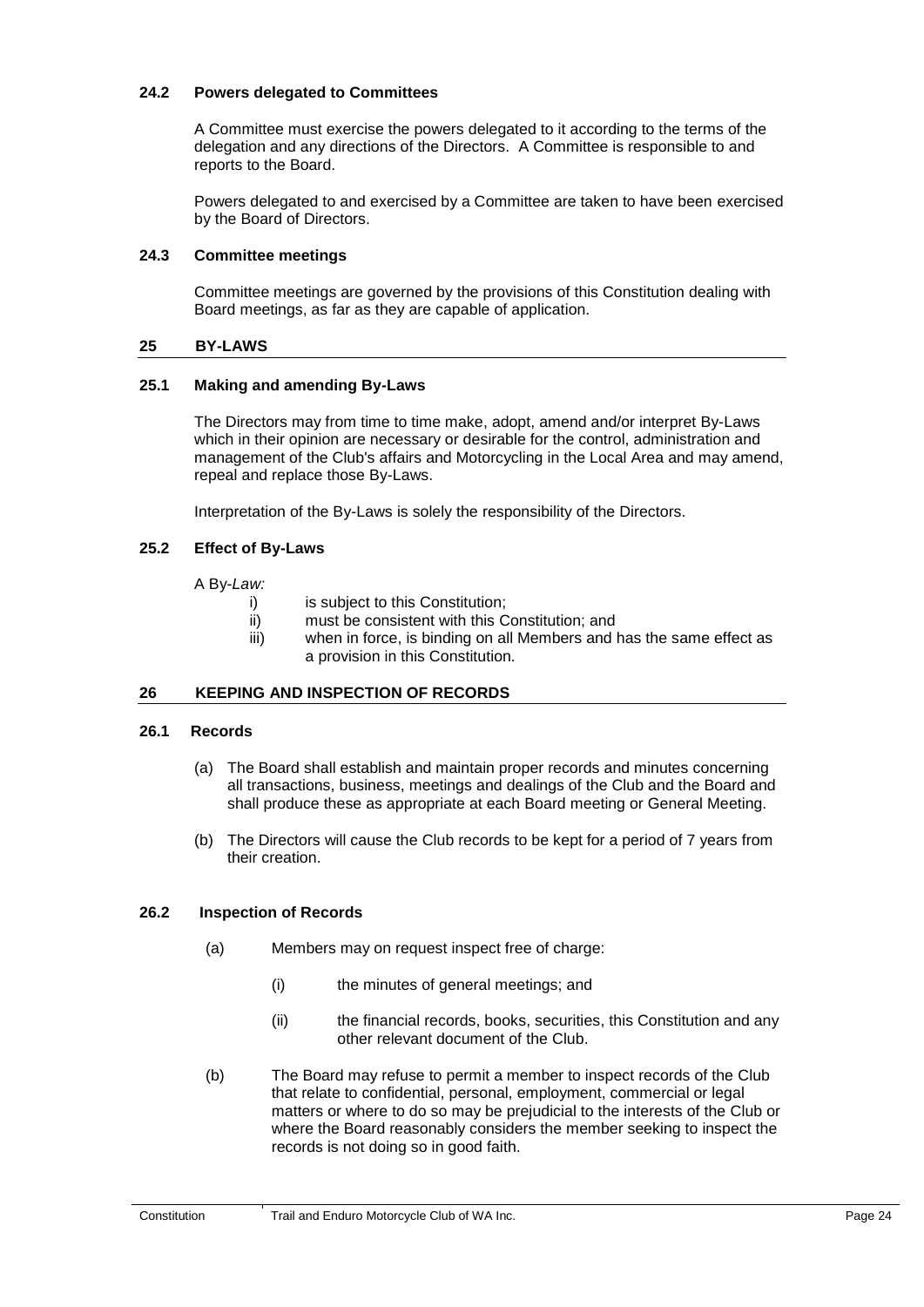## <span id="page-28-0"></span>**24.2 Powers delegated to Committees**

A Committee must exercise the powers delegated to it according to the terms of the delegation and any directions of the Directors. A Committee is responsible to and reports to the Board.

<span id="page-28-1"></span>Powers delegated to and exercised by a Committee are taken to have been exercised by the Board of Directors.

## <span id="page-28-2"></span>**24.3 Committee meetings**

Committee meetings are governed by the provisions of this Constitution dealing with Board meetings, as far as they are capable of application.

## <span id="page-28-7"></span><span id="page-28-3"></span>**25 BY-LAWS**

## **25.1 Making and amending By-Laws**

The Directors may from time to time make, adopt, amend and/or interpret By-Laws which in their opinion are necessary or desirable for the control, administration and management of the Club's affairs and Motorcycling in the Local Area and may amend, repeal and replace those By-Laws.

<span id="page-28-4"></span>Interpretation of the By-Laws is solely the responsibility of the Directors.

## **25.2 Effect of By-Laws**

<span id="page-28-5"></span>A By-*Law:*

- i) is subject to this Constitution;
	- ii) must be consistent with this Constitution; and
- iii) when in force, is binding on all Members and has the same effect as a provision in this Constitution.

#### <span id="page-28-6"></span>**26 KEEPING AND INSPECTION OF RECORDS**

#### **26.1 Records**

- (a) The Board shall establish and maintain proper records and minutes concerning all transactions, business, meetings and dealings of the Club and the Board and shall produce these as appropriate at each Board meeting or General Meeting.
- (b) The Directors will cause the Club records to be kept for a period of 7 years from their creation.

#### **26.2 Inspection of Records**

- (a) Members may on request inspect free of charge:
	- (i) the minutes of general meetings; and
	- (ii) the financial records, books, securities, this Constitution and any other relevant document of the Club.
- (b) The Board may refuse to permit a member to inspect records of the Club that relate to confidential, personal, employment, commercial or legal matters or where to do so may be prejudicial to the interests of the Club or where the Board reasonably considers the member seeking to inspect the records is not doing so in good faith.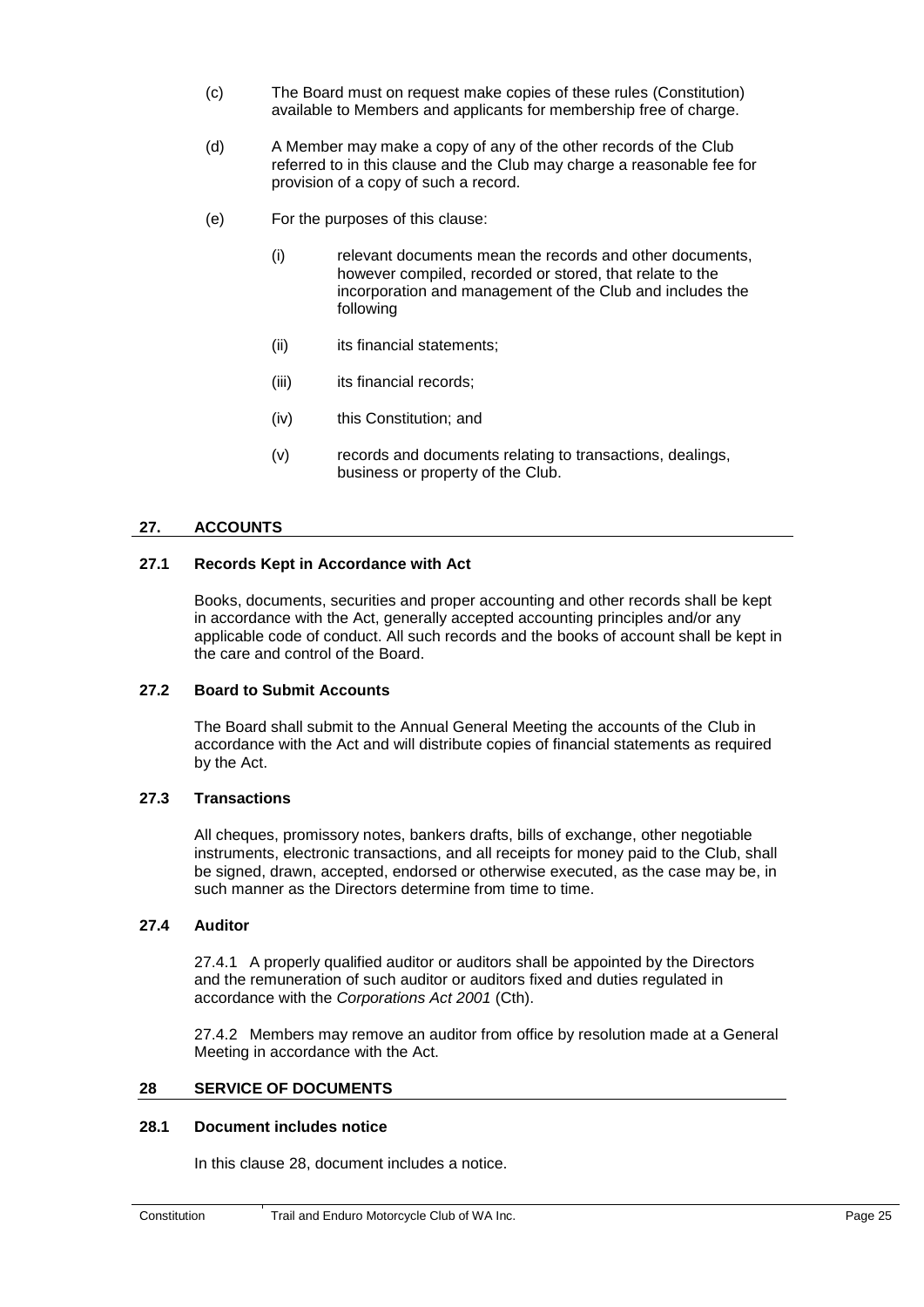- (c) The Board must on request make copies of these rules (Constitution) available to Members and applicants for membership free of charge.
- (d) A Member may make a copy of any of the other records of the Club referred to in this clause and the Club may charge a reasonable fee for provision of a copy of such a record.
- (e) For the purposes of this clause:
	- (i) relevant documents mean the records and other documents, however compiled, recorded or stored, that relate to the incorporation and management of the Club and includes the following
	- (ii) its financial statements;
	- (iii) its financial records;
	- (iv) this Constitution; and
	- (v) records and documents relating to transactions, dealings, business or property of the Club.

#### <span id="page-29-1"></span><span id="page-29-0"></span>**27. ACCOUNTS**

#### <span id="page-29-2"></span>**27.1 Records Kept in Accordance with Act**

Books, documents, securities and proper accounting and other records shall be kept in accordance with the Act, generally accepted accounting principles and/or any applicable code of conduct. All such records and the books of account shall be kept in the care and control of the Board.

#### <span id="page-29-3"></span>**27.2 Board to Submit Accounts**

The Board shall submit to the Annual General Meeting the accounts of the Club in accordance with the Act and will distribute copies of financial statements as required by the Act.

#### <span id="page-29-4"></span>**27.3 Transactions**

All cheques, promissory notes, bankers drafts, bills of exchange, other negotiable instruments, electronic transactions, and all receipts for money paid to the Club, shall be signed, drawn, accepted, endorsed or otherwise executed, as the case may be, in such manner as the Directors determine from time to time.

#### **27.4 Auditor**

27.4.1 A properly qualified auditor or auditors shall be appointed by the Directors and the remuneration of such auditor or auditors fixed and duties regulated in accordance with the *Corporations Act 2001* (Cth).

<span id="page-29-5"></span>27.4.2 Members may remove an auditor from office by resolution made at a General Meeting in accordance with the Act.

#### <span id="page-29-6"></span>**28 SERVICE OF DOCUMENTS**

#### **28.1 Document includes notice**

In this clause 28, document includes a notice.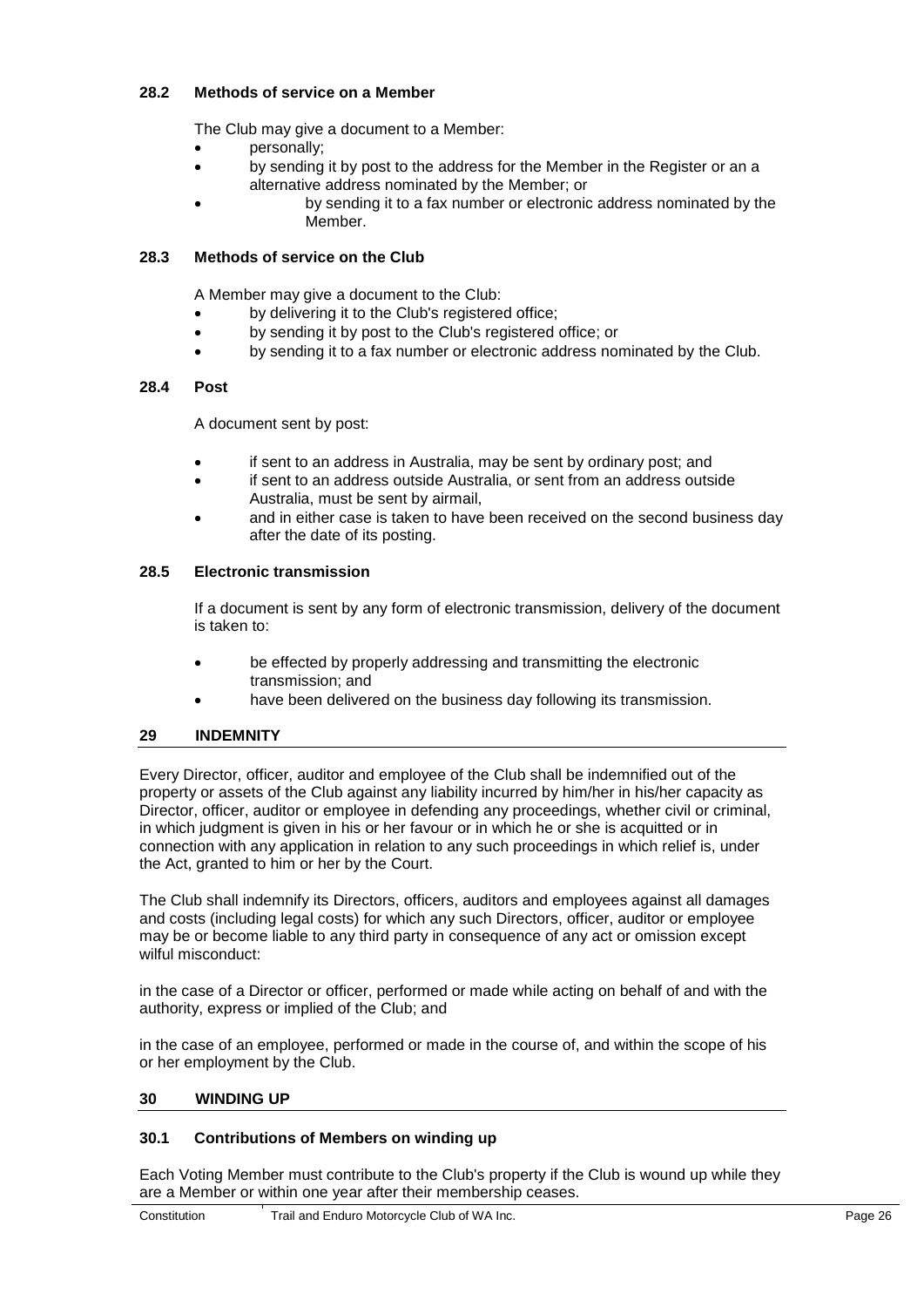## <span id="page-30-0"></span>**28.2 Methods of service on a Member**

The Club may give a document to a Member:

- personally:
- <span id="page-30-1"></span> by sending it by post to the address for the Member in the Register or an a alternative address nominated by the Member; or
	- by sending it to a fax number or electronic address nominated by the Member.

## <span id="page-30-2"></span>**28.3 Methods of service on the Club**

A Member may give a document to the Club:

- by delivering it to the Club's registered office;
- by sending it by post to the Club's registered office; or
- by sending it to a fax number or electronic address nominated by the Club.

#### **28.4 Post**

A document sent by post:

- if sent to an address in Australia, may be sent by ordinary post; and
- <span id="page-30-3"></span> if sent to an address outside Australia, or sent from an address outside Australia, must be sent by airmail,
- and in either case is taken to have been received on the second business day after the date of its posting.

#### **28.5 Electronic transmission**

If a document is sent by any form of electronic transmission, delivery of the document is taken to:

- <span id="page-30-4"></span> be effected by properly addressing and transmitting the electronic transmission; and
- have been delivered on the business day following its transmission.

## **29 INDEMNITY**

Every Director, officer, auditor and employee of the Club shall be indemnified out of the property or assets of the Club against any liability incurred by him/her in his/her capacity as Director, officer, auditor or employee in defending any proceedings, whether civil or criminal, in which judgment is given in his or her favour or in which he or she is acquitted or in connection with any application in relation to any such proceedings in which relief is, under the Act, granted to him or her by the Court.

The Club shall indemnify its Directors, officers, auditors and employees against all damages and costs (including legal costs) for which any such Directors, officer, auditor or employee may be or become liable to any third party in consequence of any act or omission except wilful misconduct:

in the case of a Director or officer, performed or made while acting on behalf of and with the authority, express or implied of the Club; and

<span id="page-30-6"></span><span id="page-30-5"></span>in the case of an employee, performed or made in the course of, and within the scope of his or her employment by the Club.

#### **30 WINDING UP**

#### **30.1 Contributions of Members on winding up**

Each Voting Member must contribute to the Club's property if the Club is wound up while they are a Member or within one year after their membership ceases.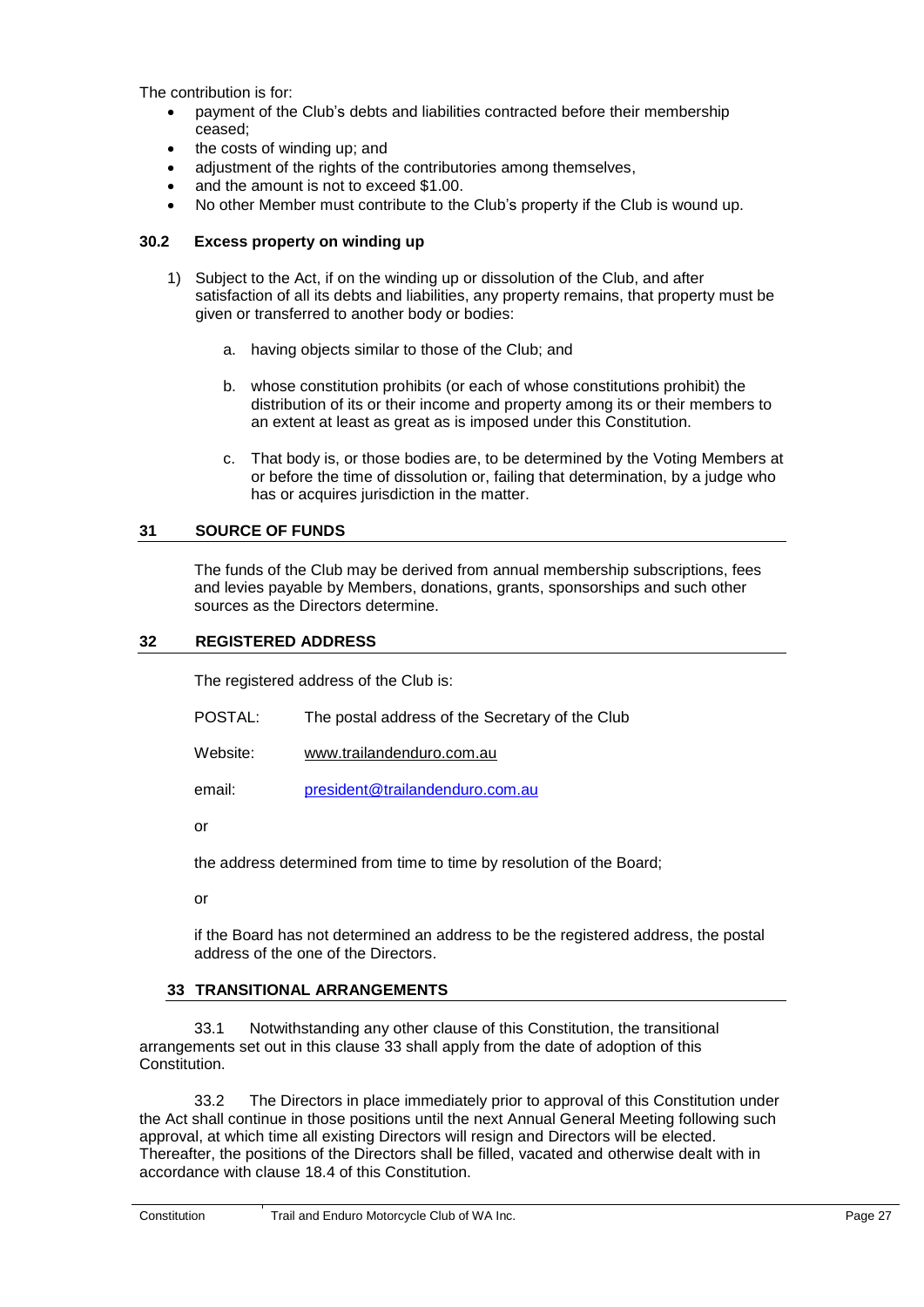The contribution is for:

- payment of the Club's debts and liabilities contracted before their membership ceased;
- the costs of winding up; and
- <span id="page-31-0"></span>adjustment of the rights of the contributories among themselves,
- and the amount is not to exceed \$1.00.
- No other Member must contribute to the Club's property if the Club is wound up.

## **30.2 Excess property on winding up**

- 1) Subject to the Act, if on the winding up or dissolution of the Club, and after satisfaction of all its debts and liabilities, any property remains, that property must be given or transferred to another body or bodies:
	- a. having objects similar to those of the Club; and
	- b. whose constitution prohibits (or each of whose constitutions prohibit) the distribution of its or their income and property among its or their members to an extent at least as great as is imposed under this Constitution.
	- c. That body is, or those bodies are, to be determined by the Voting Members at or before the time of dissolution or, failing that determination, by a judge who has or acquires jurisdiction in the matter.

## <span id="page-31-2"></span><span id="page-31-1"></span>**31 SOURCE OF FUNDS**

The funds of the Club may be derived from annual membership subscriptions, fees and levies payable by Members, donations, grants, sponsorships and such other sources as the Directors determine.

#### **32 REGISTERED ADDRESS**

The registered address of the Club is:

- POSTAL: The postal address of the Secretary of the Club
- Website: [www.trailandenduro.com.au](http://www.trailandenduro.com.au/)

email: [president@trailandenduro.com.au](mailto:president@trailandenduro.com.au)

or

the address determined from time to time by resolution of the Board;

<span id="page-31-3"></span>or

if the Board has not determined an address to be the registered address, the postal address of the one of the Directors.

## **33 TRANSITIONAL ARRANGEMENTS**

33.1 Notwithstanding any other clause of this Constitution, the transitional arrangements set out in this clause 33 shall apply from the date of adoption of this **Constitution** 

33.2 The Directors in place immediately prior to approval of this Constitution under the Act shall continue in those positions until the next Annual General Meeting following such approval, at which time all existing Directors will resign and Directors will be elected. Thereafter, the positions of the Directors shall be filled, vacated and otherwise dealt with in accordance with clause [18.4](#page-23-10) of this Constitution.